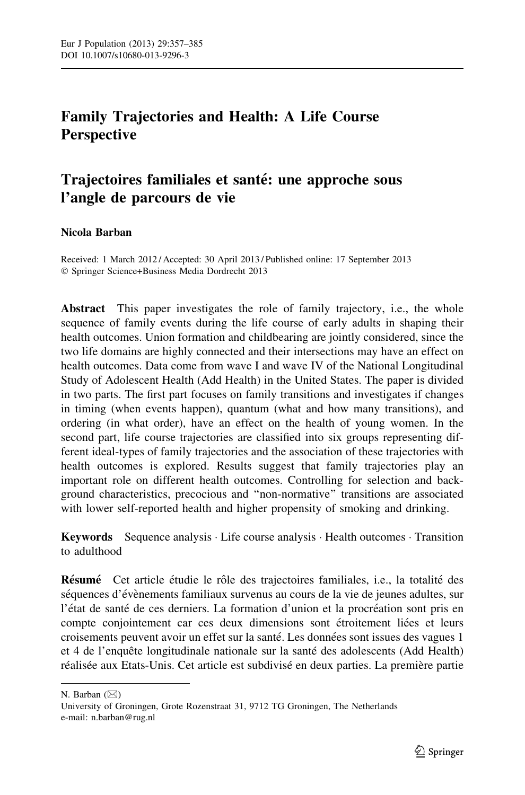# Family Trajectories and Health: A Life Course **Perspective**

# Trajectoires familiales et santé: une approche sous l'angle de parcours de vie

# Nicola Barban

Received: 1 March 2012 / Accepted: 30 April 2013 / Published online: 17 September 2013 - Springer Science+Business Media Dordrecht 2013

Abstract This paper investigates the role of family trajectory, i.e., the whole sequence of family events during the life course of early adults in shaping their health outcomes. Union formation and childbearing are jointly considered, since the two life domains are highly connected and their intersections may have an effect on health outcomes. Data come from wave I and wave IV of the National Longitudinal Study of Adolescent Health (Add Health) in the United States. The paper is divided in two parts. The first part focuses on family transitions and investigates if changes in timing (when events happen), quantum (what and how many transitions), and ordering (in what order), have an effect on the health of young women. In the second part, life course trajectories are classified into six groups representing different ideal-types of family trajectories and the association of these trajectories with health outcomes is explored. Results suggest that family trajectories play an important role on different health outcomes. Controlling for selection and background characteristics, precocious and ''non-normative'' transitions are associated with lower self-reported health and higher propensity of smoking and drinking.

Keywords Sequence analysis · Life course analysis · Health outcomes · Transition to adulthood

Résumé Cet article étudie le rôle des trajectoires familiales, i.e., la totalité des séquences d'évènements familiaux survenus au cours de la vie de jeunes adultes, sur l'état de santé de ces derniers. La formation d'union et la procréation sont pris en compte conjointement car ces deux dimensions sont étroitement liées et leurs croisements peuvent avoir un effet sur la santé. Les données sont issues des vagues 1 et 4 de l'enquête longitudinale nationale sur la santé des adolescents (Add Health) réalisée aux Etats-Unis. Cet article est subdivisé en deux parties. La première partie

N. Barban  $(\boxtimes)$ 

University of Groningen, Grote Rozenstraat 31, 9712 TG Groningen, The Netherlands e-mail: n.barban@rug.nl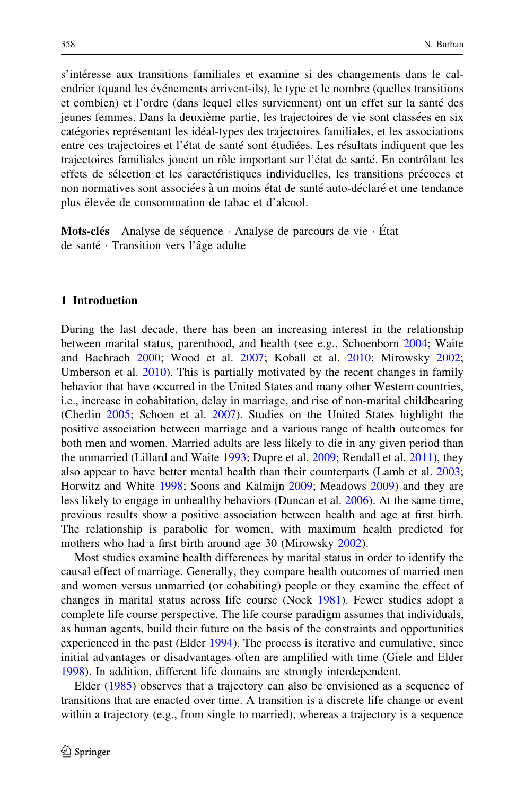s'intéresse aux transitions familiales et examine si des changements dans le calendrier (quand les événements arrivent-ils), le type et le nombre (quelles transitions et combien) et l'ordre (dans lequel elles surviennent) ont un effet sur la sante´ des jeunes femmes. Dans la deuxième partie, les trajectoires de vie sont classées en six catégories représentant les idéal-types des trajectoires familiales, et les associations entre ces trajectoires et l'état de santé sont étudiées. Les résultats indiquent que les trajectoires familiales jouent un rôle important sur l'état de santé. En contrôlant les effets de sélection et les caractéristiques individuelles, les transitions précoces et non normatives sont associées à un moins état de santé auto-déclaré et une tendance plus élevée de consommation de tabac et d'alcool.

Mots-clés Analyse de séquence · Analyse de parcours de vie · État de santé · Transition vers l'âge adulte

# 1 Introduction

During the last decade, there has been an increasing interest in the relationship between marital status, parenthood, and health (see e.g., Schoenborn [2004;](#page-28-0) Waite and Bachrach [2000](#page-28-0); Wood et al. [2007](#page-28-0); Koball et al. [2010;](#page-27-0) Mirowsky [2002;](#page-27-0) Umberson et al. [2010](#page-28-0)). This is partially motivated by the recent changes in family behavior that have occurred in the United States and many other Western countries, i.e., increase in cohabitation, delay in marriage, and rise of non-marital childbearing (Cherlin [2005](#page-26-0); Schoen et al. [2007\)](#page-28-0). Studies on the United States highlight the positive association between marriage and a various range of health outcomes for both men and women. Married adults are less likely to die in any given period than the unmarried (Lillard and Waite [1993](#page-27-0); Dupre et al. [2009](#page-26-0); Rendall et al. [2011\)](#page-28-0), they also appear to have better mental health than their counterparts (Lamb et al. [2003;](#page-27-0) Horwitz and White [1998](#page-27-0); Soons and Kalmijn [2009;](#page-28-0) Meadows [2009](#page-27-0)) and they are less likely to engage in unhealthy behaviors (Duncan et al. [2006\)](#page-26-0). At the same time, previous results show a positive association between health and age at first birth. The relationship is parabolic for women, with maximum health predicted for mothers who had a first birth around age 30 (Mirowsky [2002\)](#page-27-0).

Most studies examine health differences by marital status in order to identify the causal effect of marriage. Generally, they compare health outcomes of married men and women versus unmarried (or cohabiting) people or they examine the effect of changes in marital status across life course (Nock [1981\)](#page-27-0). Fewer studies adopt a complete life course perspective. The life course paradigm assumes that individuals, as human agents, build their future on the basis of the constraints and opportunities experienced in the past (Elder [1994](#page-26-0)). The process is iterative and cumulative, since initial advantages or disadvantages often are amplified with time (Giele and Elder [1998\)](#page-27-0). In addition, different life domains are strongly interdependent.

Elder ([1985\)](#page-26-0) observes that a trajectory can also be envisioned as a sequence of transitions that are enacted over time. A transition is a discrete life change or event within a trajectory (e.g., from single to married), whereas a trajectory is a sequence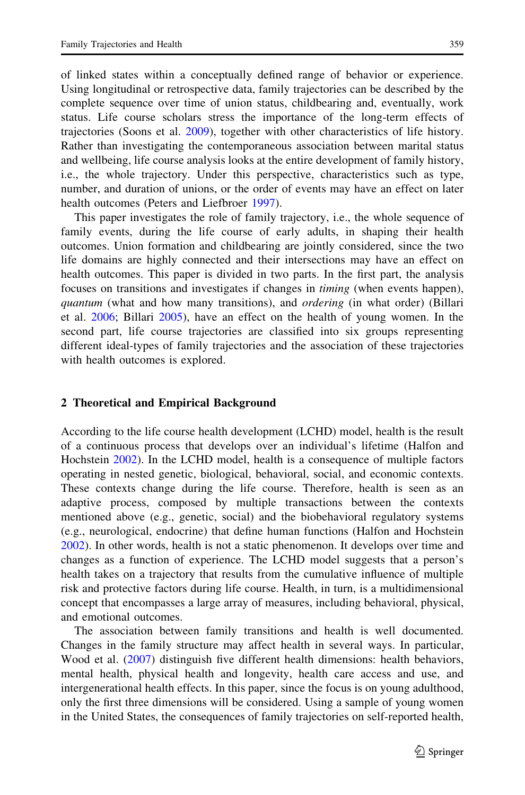of linked states within a conceptually defined range of behavior or experience. Using longitudinal or retrospective data, family trajectories can be described by the complete sequence over time of union status, childbearing and, eventually, work status. Life course scholars stress the importance of the long-term effects of trajectories (Soons et al. [2009](#page-28-0)), together with other characteristics of life history. Rather than investigating the contemporaneous association between marital status and wellbeing, life course analysis looks at the entire development of family history, i.e., the whole trajectory. Under this perspective, characteristics such as type, number, and duration of unions, or the order of events may have an effect on later health outcomes (Peters and Liefbroer [1997\)](#page-28-0).

This paper investigates the role of family trajectory, i.e., the whole sequence of family events, during the life course of early adults, in shaping their health outcomes. Union formation and childbearing are jointly considered, since the two life domains are highly connected and their intersections may have an effect on health outcomes. This paper is divided in two parts. In the first part, the analysis focuses on transitions and investigates if changes in timing (when events happen), quantum (what and how many transitions), and *ordering* (in what order) (Billari et al. [2006](#page-26-0); Billari [2005](#page-26-0)), have an effect on the health of young women. In the second part, life course trajectories are classified into six groups representing different ideal-types of family trajectories and the association of these trajectories with health outcomes is explored.

#### 2 Theoretical and Empirical Background

According to the life course health development (LCHD) model, health is the result of a continuous process that develops over an individual's lifetime (Halfon and Hochstein [2002\)](#page-27-0). In the LCHD model, health is a consequence of multiple factors operating in nested genetic, biological, behavioral, social, and economic contexts. These contexts change during the life course. Therefore, health is seen as an adaptive process, composed by multiple transactions between the contexts mentioned above (e.g., genetic, social) and the biobehavioral regulatory systems (e.g., neurological, endocrine) that define human functions (Halfon and Hochstein [2002\)](#page-27-0). In other words, health is not a static phenomenon. It develops over time and changes as a function of experience. The LCHD model suggests that a person's health takes on a trajectory that results from the cumulative influence of multiple risk and protective factors during life course. Health, in turn, is a multidimensional concept that encompasses a large array of measures, including behavioral, physical, and emotional outcomes.

The association between family transitions and health is well documented. Changes in the family structure may affect health in several ways. In particular, Wood et al. ([2007\)](#page-28-0) distinguish five different health dimensions: health behaviors, mental health, physical health and longevity, health care access and use, and intergenerational health effects. In this paper, since the focus is on young adulthood, only the first three dimensions will be considered. Using a sample of young women in the United States, the consequences of family trajectories on self-reported health,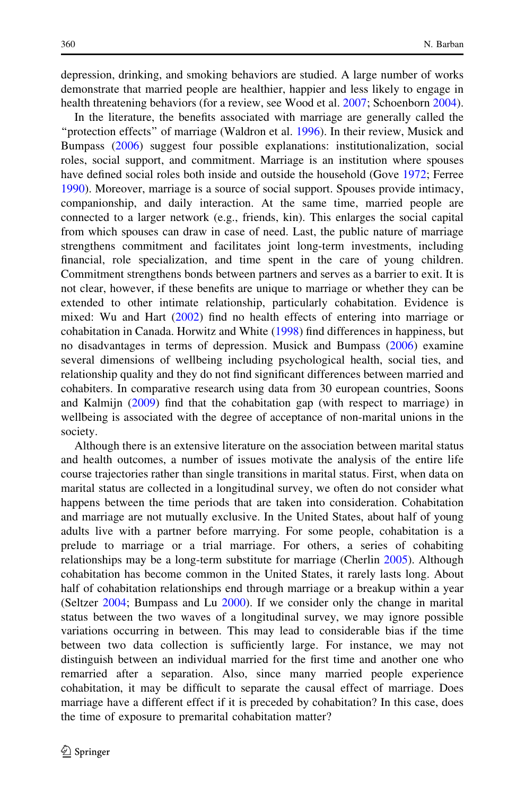depression, drinking, and smoking behaviors are studied. A large number of works demonstrate that married people are healthier, happier and less likely to engage in health threatening behaviors (for a review, see Wood et al. [2007](#page-28-0); Schoenborn [2004\)](#page-28-0).

In the literature, the benefits associated with marriage are generally called the "protection effects" of marriage (Waldron et al. [1996\)](#page-28-0). In their review, Musick and Bumpass ([2006\)](#page-27-0) suggest four possible explanations: institutionalization, social roles, social support, and commitment. Marriage is an institution where spouses have defined social roles both inside and outside the household (Gove [1972](#page-27-0); Ferree [1990\)](#page-26-0). Moreover, marriage is a source of social support. Spouses provide intimacy, companionship, and daily interaction. At the same time, married people are connected to a larger network (e.g., friends, kin). This enlarges the social capital from which spouses can draw in case of need. Last, the public nature of marriage strengthens commitment and facilitates joint long-term investments, including financial, role specialization, and time spent in the care of young children. Commitment strengthens bonds between partners and serves as a barrier to exit. It is not clear, however, if these benefits are unique to marriage or whether they can be extended to other intimate relationship, particularly cohabitation. Evidence is mixed: Wu and Hart ([2002\)](#page-28-0) find no health effects of entering into marriage or cohabitation in Canada. Horwitz and White ([1998](#page-27-0)) find differences in happiness, but no disadvantages in terms of depression. Musick and Bumpass [\(2006](#page-27-0)) examine several dimensions of wellbeing including psychological health, social ties, and relationship quality and they do not find significant differences between married and cohabiters. In comparative research using data from 30 european countries, Soons and Kalmijn [\(2009](#page-28-0)) find that the cohabitation gap (with respect to marriage) in wellbeing is associated with the degree of acceptance of non-marital unions in the society.

Although there is an extensive literature on the association between marital status and health outcomes, a number of issues motivate the analysis of the entire life course trajectories rather than single transitions in marital status. First, when data on marital status are collected in a longitudinal survey, we often do not consider what happens between the time periods that are taken into consideration. Cohabitation and marriage are not mutually exclusive. In the United States, about half of young adults live with a partner before marrying. For some people, cohabitation is a prelude to marriage or a trial marriage. For others, a series of cohabiting relationships may be a long-term substitute for marriage (Cherlin [2005\)](#page-26-0). Although cohabitation has become common in the United States, it rarely lasts long. About half of cohabitation relationships end through marriage or a breakup within a year (Seltzer [2004;](#page-28-0) Bumpass and Lu [2000\)](#page-26-0). If we consider only the change in marital status between the two waves of a longitudinal survey, we may ignore possible variations occurring in between. This may lead to considerable bias if the time between two data collection is sufficiently large. For instance, we may not distinguish between an individual married for the first time and another one who remarried after a separation. Also, since many married people experience cohabitation, it may be difficult to separate the causal effect of marriage. Does marriage have a different effect if it is preceded by cohabitation? In this case, does the time of exposure to premarital cohabitation matter?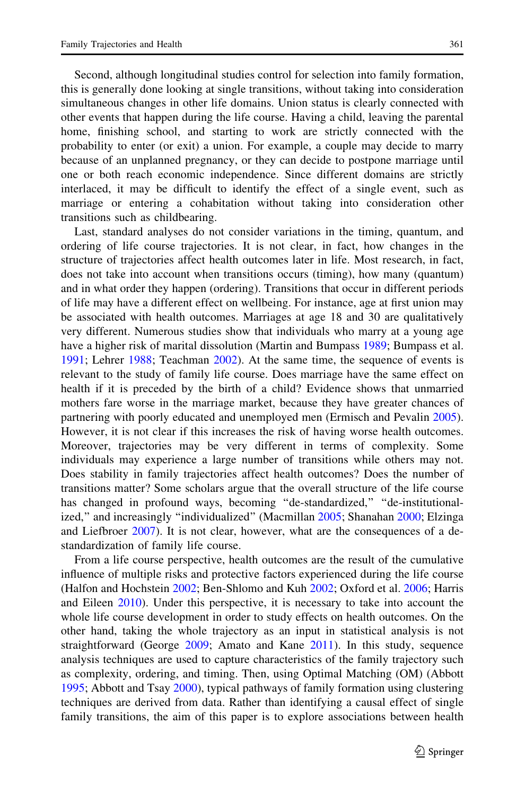Second, although longitudinal studies control for selection into family formation, this is generally done looking at single transitions, without taking into consideration simultaneous changes in other life domains. Union status is clearly connected with other events that happen during the life course. Having a child, leaving the parental home, finishing school, and starting to work are strictly connected with the probability to enter (or exit) a union. For example, a couple may decide to marry because of an unplanned pregnancy, or they can decide to postpone marriage until one or both reach economic independence. Since different domains are strictly interlaced, it may be difficult to identify the effect of a single event, such as marriage or entering a cohabitation without taking into consideration other transitions such as childbearing.

Last, standard analyses do not consider variations in the timing, quantum, and ordering of life course trajectories. It is not clear, in fact, how changes in the structure of trajectories affect health outcomes later in life. Most research, in fact, does not take into account when transitions occurs (timing), how many (quantum) and in what order they happen (ordering). Transitions that occur in different periods of life may have a different effect on wellbeing. For instance, age at first union may be associated with health outcomes. Marriages at age 18 and 30 are qualitatively very different. Numerous studies show that individuals who marry at a young age have a higher risk of marital dissolution (Martin and Bumpass [1989;](#page-27-0) Bumpass et al. [1991;](#page-26-0) Lehrer [1988](#page-27-0); Teachman [2002\)](#page-28-0). At the same time, the sequence of events is relevant to the study of family life course. Does marriage have the same effect on health if it is preceded by the birth of a child? Evidence shows that unmarried mothers fare worse in the marriage market, because they have greater chances of partnering with poorly educated and unemployed men (Ermisch and Pevalin [2005\)](#page-26-0). However, it is not clear if this increases the risk of having worse health outcomes. Moreover, trajectories may be very different in terms of complexity. Some individuals may experience a large number of transitions while others may not. Does stability in family trajectories affect health outcomes? Does the number of transitions matter? Some scholars argue that the overall structure of the life course has changed in profound ways, becoming "de-standardized," "de-institutionalized,'' and increasingly ''individualized'' (Macmillan [2005](#page-27-0); Shanahan [2000;](#page-28-0) Elzinga and Liefbroer [2007](#page-26-0)). It is not clear, however, what are the consequences of a destandardization of family life course.

From a life course perspective, health outcomes are the result of the cumulative influence of multiple risks and protective factors experienced during the life course (Halfon and Hochstein [2002;](#page-27-0) Ben-Shlomo and Kuh [2002](#page-26-0); Oxford et al. [2006](#page-28-0); Harris and Eileen [2010\)](#page-27-0). Under this perspective, it is necessary to take into account the whole life course development in order to study effects on health outcomes. On the other hand, taking the whole trajectory as an input in statistical analysis is not straightforward (George [2009](#page-27-0); Amato and Kane [2011\)](#page-26-0). In this study, sequence analysis techniques are used to capture characteristics of the family trajectory such as complexity, ordering, and timing. Then, using Optimal Matching (OM) (Abbott [1995;](#page-25-0) Abbott and Tsay [2000](#page-26-0)), typical pathways of family formation using clustering techniques are derived from data. Rather than identifying a causal effect of single family transitions, the aim of this paper is to explore associations between health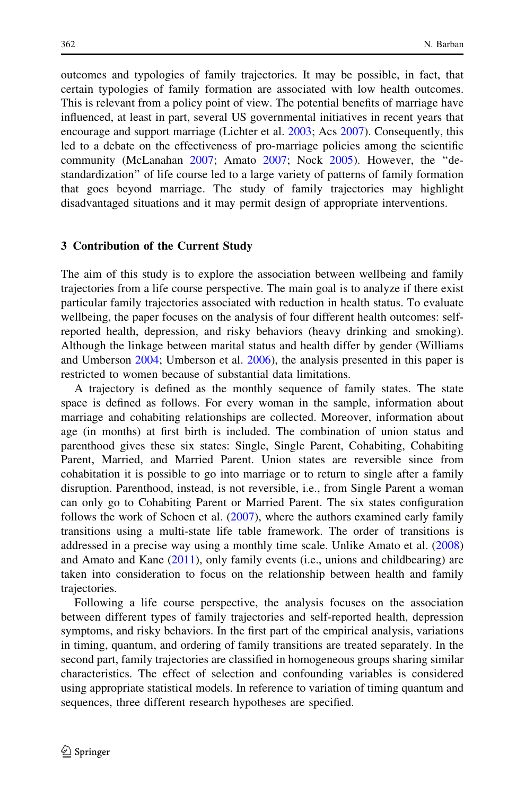outcomes and typologies of family trajectories. It may be possible, in fact, that certain typologies of family formation are associated with low health outcomes. This is relevant from a policy point of view. The potential benefits of marriage have influenced, at least in part, several US governmental initiatives in recent years that encourage and support marriage (Lichter et al. [2003](#page-27-0); Acs [2007](#page-26-0)). Consequently, this led to a debate on the effectiveness of pro-marriage policies among the scientific community (McLanahan [2007](#page-27-0); Amato [2007](#page-26-0); Nock [2005\)](#page-28-0). However, the ''destandardization'' of life course led to a large variety of patterns of family formation that goes beyond marriage. The study of family trajectories may highlight disadvantaged situations and it may permit design of appropriate interventions.

#### 3 Contribution of the Current Study

The aim of this study is to explore the association between wellbeing and family trajectories from a life course perspective. The main goal is to analyze if there exist particular family trajectories associated with reduction in health status. To evaluate wellbeing, the paper focuses on the analysis of four different health outcomes: selfreported health, depression, and risky behaviors (heavy drinking and smoking). Although the linkage between marital status and health differ by gender (Williams and Umberson [2004](#page-28-0); Umberson et al. [2006\)](#page-28-0), the analysis presented in this paper is restricted to women because of substantial data limitations.

A trajectory is defined as the monthly sequence of family states. The state space is defined as follows. For every woman in the sample, information about marriage and cohabiting relationships are collected. Moreover, information about age (in months) at first birth is included. The combination of union status and parenthood gives these six states: Single, Single Parent, Cohabiting, Cohabiting Parent, Married, and Married Parent. Union states are reversible since from cohabitation it is possible to go into marriage or to return to single after a family disruption. Parenthood, instead, is not reversible, i.e., from Single Parent a woman can only go to Cohabiting Parent or Married Parent. The six states configuration follows the work of Schoen et al. [\(2007](#page-28-0)), where the authors examined early family transitions using a multi-state life table framework. The order of transitions is addressed in a precise way using a monthly time scale. Unlike Amato et al. [\(2008](#page-26-0)) and Amato and Kane  $(2011)$  $(2011)$ , only family events (i.e., unions and childbearing) are taken into consideration to focus on the relationship between health and family trajectories.

Following a life course perspective, the analysis focuses on the association between different types of family trajectories and self-reported health, depression symptoms, and risky behaviors. In the first part of the empirical analysis, variations in timing, quantum, and ordering of family transitions are treated separately. In the second part, family trajectories are classified in homogeneous groups sharing similar characteristics. The effect of selection and confounding variables is considered using appropriate statistical models. In reference to variation of timing quantum and sequences, three different research hypotheses are specified.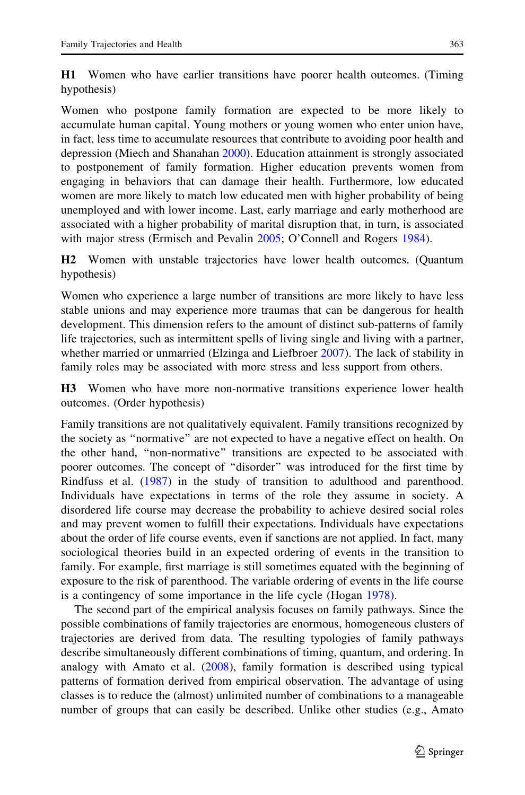H1 Women who have earlier transitions have poorer health outcomes. (Timing hypothesis)

Women who postpone family formation are expected to be more likely to accumulate human capital. Young mothers or young women who enter union have, in fact, less time to accumulate resources that contribute to avoiding poor health and depression (Miech and Shanahan [2000](#page-27-0)). Education attainment is strongly associated to postponement of family formation. Higher education prevents women from engaging in behaviors that can damage their health. Furthermore, low educated women are more likely to match low educated men with higher probability of being unemployed and with lower income. Last, early marriage and early motherhood are associated with a higher probability of marital disruption that, in turn, is associated with major stress (Ermisch and Pevalin [2005](#page-26-0); O'Connell and Rogers [1984](#page-28-0)).

H2 Women with unstable trajectories have lower health outcomes. (Quantum hypothesis)

Women who experience a large number of transitions are more likely to have less stable unions and may experience more traumas that can be dangerous for health development. This dimension refers to the amount of distinct sub-patterns of family life trajectories, such as intermittent spells of living single and living with a partner, whether married or unmarried (Elzinga and Liefbroer [2007\)](#page-26-0). The lack of stability in family roles may be associated with more stress and less support from others.

H3 Women who have more non-normative transitions experience lower health outcomes. (Order hypothesis)

Family transitions are not qualitatively equivalent. Family transitions recognized by the society as ''normative'' are not expected to have a negative effect on health. On the other hand, ''non-normative'' transitions are expected to be associated with poorer outcomes. The concept of ''disorder'' was introduced for the first time by Rindfuss et al. ([1987\)](#page-28-0) in the study of transition to adulthood and parenthood. Individuals have expectations in terms of the role they assume in society. A disordered life course may decrease the probability to achieve desired social roles and may prevent women to fulfill their expectations. Individuals have expectations about the order of life course events, even if sanctions are not applied. In fact, many sociological theories build in an expected ordering of events in the transition to family. For example, first marriage is still sometimes equated with the beginning of exposure to the risk of parenthood. The variable ordering of events in the life course is a contingency of some importance in the life cycle (Hogan [1978\)](#page-27-0).

The second part of the empirical analysis focuses on family pathways. Since the possible combinations of family trajectories are enormous, homogeneous clusters of trajectories are derived from data. The resulting typologies of family pathways describe simultaneously different combinations of timing, quantum, and ordering. In analogy with Amato et al. ([2008\)](#page-26-0), family formation is described using typical patterns of formation derived from empirical observation. The advantage of using classes is to reduce the (almost) unlimited number of combinations to a manageable number of groups that can easily be described. Unlike other studies (e.g., Amato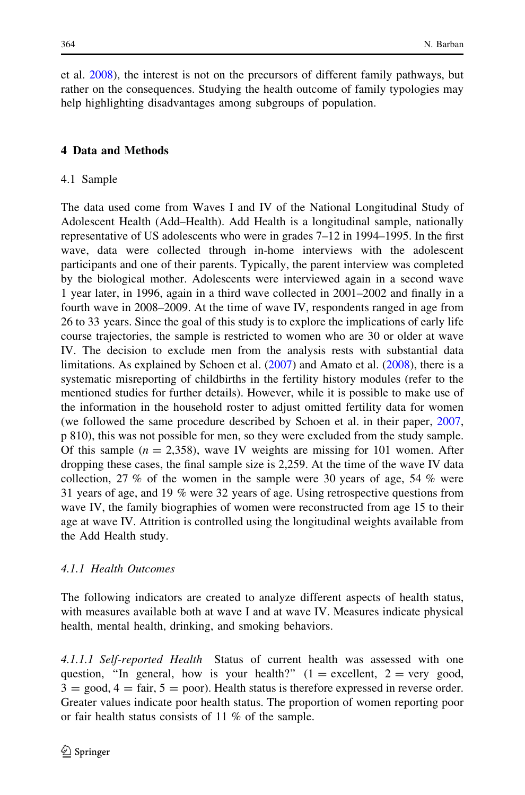et al. [2008\)](#page-26-0), the interest is not on the precursors of different family pathways, but rather on the consequences. Studying the health outcome of family typologies may help highlighting disadvantages among subgroups of population.

# 4 Data and Methods

#### 4.1 Sample

The data used come from Waves I and IV of the National Longitudinal Study of Adolescent Health (Add–Health). Add Health is a longitudinal sample, nationally representative of US adolescents who were in grades 7–12 in 1994–1995. In the first wave, data were collected through in-home interviews with the adolescent participants and one of their parents. Typically, the parent interview was completed by the biological mother. Adolescents were interviewed again in a second wave 1 year later, in 1996, again in a third wave collected in 2001–2002 and finally in a fourth wave in 2008–2009. At the time of wave IV, respondents ranged in age from 26 to 33 years. Since the goal of this study is to explore the implications of early life course trajectories, the sample is restricted to women who are 30 or older at wave IV. The decision to exclude men from the analysis rests with substantial data limitations. As explained by Schoen et al. ([2007\)](#page-28-0) and Amato et al. [\(2008](#page-26-0)), there is a systematic misreporting of childbirths in the fertility history modules (refer to the mentioned studies for further details). However, while it is possible to make use of the information in the household roster to adjust omitted fertility data for women (we followed the same procedure described by Schoen et al. in their paper, [2007,](#page-28-0) p 810), this was not possible for men, so they were excluded from the study sample. Of this sample ( $n = 2,358$ ), wave IV weights are missing for 101 women. After dropping these cases, the final sample size is 2,259. At the time of the wave IV data collection, 27 % of the women in the sample were 30 years of age, 54 % were 31 years of age, and 19 % were 32 years of age. Using retrospective questions from wave IV, the family biographies of women were reconstructed from age 15 to their age at wave IV. Attrition is controlled using the longitudinal weights available from the Add Health study.

# 4.1.1 Health Outcomes

The following indicators are created to analyze different aspects of health status, with measures available both at wave I and at wave IV. Measures indicate physical health, mental health, drinking, and smoking behaviors.

4.1.1.1 Self-reported Health Status of current health was assessed with one question, "In general, how is your health?" ( $1 =$  excellent,  $2 =$  very good,  $3 = \text{good}, 4 = \text{fair}, 5 = \text{poor}.$  Health status is therefore expressed in reverse order. Greater values indicate poor health status. The proportion of women reporting poor or fair health status consists of 11 % of the sample.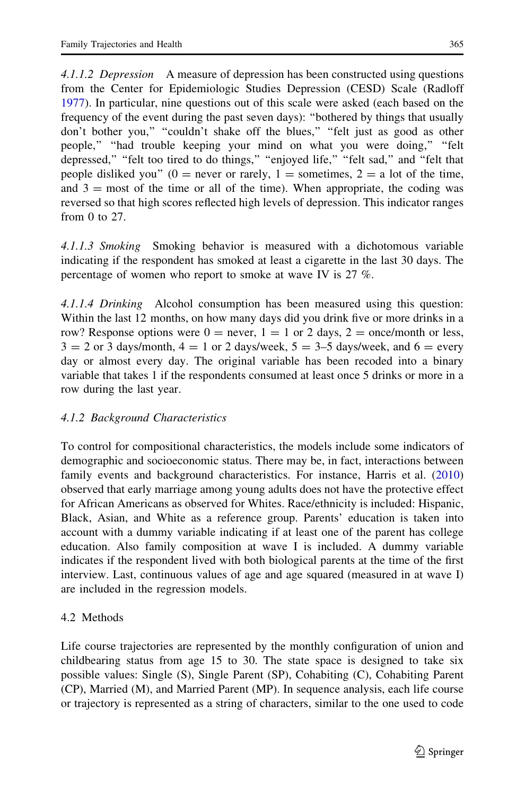4.1.1.2 Depression A measure of depression has been constructed using questions from the Center for Epidemiologic Studies Depression (CESD) Scale (Radloff [1977\)](#page-28-0). In particular, nine questions out of this scale were asked (each based on the frequency of the event during the past seven days): ''bothered by things that usually don't bother you," "couldn't shake off the blues," "felt just as good as other people,'' ''had trouble keeping your mind on what you were doing,'' ''felt depressed," "felt too tired to do things," "enjoyed life," "felt sad," and "felt that people disliked you" (0 = never or rarely, 1 = sometimes, 2 = a lot of the time, and  $3 =$  most of the time or all of the time). When appropriate, the coding was reversed so that high scores reflected high levels of depression. This indicator ranges from 0 to 27.

4.1.1.3 Smoking Smoking behavior is measured with a dichotomous variable indicating if the respondent has smoked at least a cigarette in the last 30 days. The percentage of women who report to smoke at wave IV is 27 %.

4.1.1.4 Drinking Alcohol consumption has been measured using this question: Within the last 12 months, on how many days did you drink five or more drinks in a row? Response options were  $0 =$  never,  $1 = 1$  or 2 days,  $2 =$  once/month or less,  $3 = 2$  or 3 days/month,  $4 = 1$  or 2 days/week,  $5 = 3-5$  days/week, and  $6 =$  every day or almost every day. The original variable has been recoded into a binary variable that takes 1 if the respondents consumed at least once 5 drinks or more in a row during the last year.

# 4.1.2 Background Characteristics

To control for compositional characteristics, the models include some indicators of demographic and socioeconomic status. There may be, in fact, interactions between family events and background characteristics. For instance, Harris et al. [\(2010\)](#page-27-0) observed that early marriage among young adults does not have the protective effect for African Americans as observed for Whites. Race/ethnicity is included: Hispanic, Black, Asian, and White as a reference group. Parents' education is taken into account with a dummy variable indicating if at least one of the parent has college education. Also family composition at wave I is included. A dummy variable indicates if the respondent lived with both biological parents at the time of the first interview. Last, continuous values of age and age squared (measured in at wave I) are included in the regression models.

# 4.2 Methods

Life course trajectories are represented by the monthly configuration of union and childbearing status from age 15 to 30. The state space is designed to take six possible values: Single (S), Single Parent (SP), Cohabiting (C), Cohabiting Parent (CP), Married (M), and Married Parent (MP). In sequence analysis, each life course or trajectory is represented as a string of characters, similar to the one used to code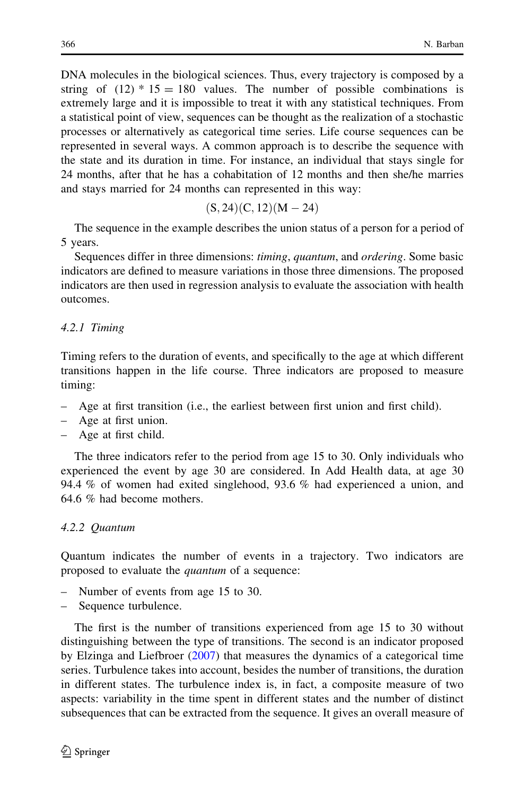DNA molecules in the biological sciences. Thus, every trajectory is composed by a string of  $(12) * 15 = 180$  values. The number of possible combinations is extremely large and it is impossible to treat it with any statistical techniques. From a statistical point of view, sequences can be thought as the realization of a stochastic processes or alternatively as categorical time series. Life course sequences can be represented in several ways. A common approach is to describe the sequence with the state and its duration in time. For instance, an individual that stays single for 24 months, after that he has a cohabitation of 12 months and then she/he marries and stays married for 24 months can represented in this way:

$$
(S,24)(C,12)(M-24)
$$

The sequence in the example describes the union status of a person for a period of 5 years.

Sequences differ in three dimensions: timing, quantum, and ordering. Some basic indicators are defined to measure variations in those three dimensions. The proposed indicators are then used in regression analysis to evaluate the association with health outcomes.

# 4.2.1 Timing

Timing refers to the duration of events, and specifically to the age at which different transitions happen in the life course. Three indicators are proposed to measure timing:

- Age at first transition (i.e., the earliest between first union and first child).
- Age at first union.
- Age at first child.

The three indicators refer to the period from age 15 to 30. Only individuals who experienced the event by age 30 are considered. In Add Health data, at age 30 94.4 % of women had exited singlehood, 93.6 % had experienced a union, and 64.6 % had become mothers.

# 4.2.2 Quantum

Quantum indicates the number of events in a trajectory. Two indicators are proposed to evaluate the quantum of a sequence:

- Number of events from age 15 to 30.
- Sequence turbulence.

The first is the number of transitions experienced from age 15 to 30 without distinguishing between the type of transitions. The second is an indicator proposed by Elzinga and Liefbroer ([2007\)](#page-26-0) that measures the dynamics of a categorical time series. Turbulence takes into account, besides the number of transitions, the duration in different states. The turbulence index is, in fact, a composite measure of two aspects: variability in the time spent in different states and the number of distinct subsequences that can be extracted from the sequence. It gives an overall measure of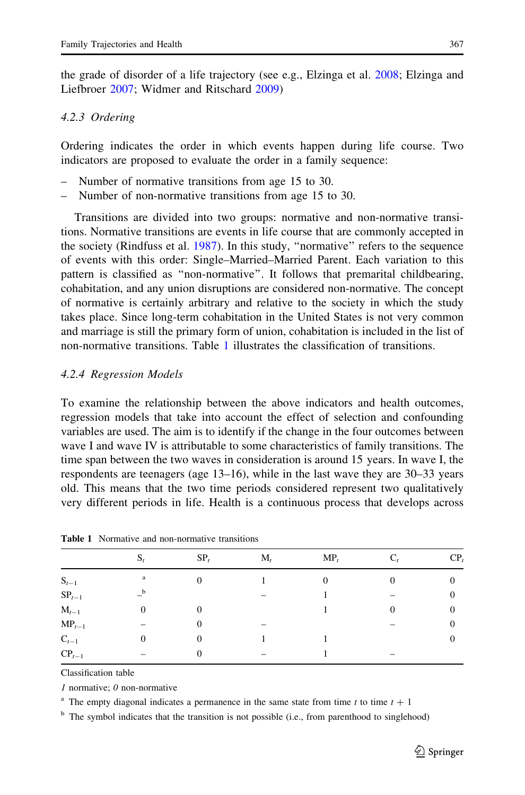<span id="page-10-0"></span>the grade of disorder of a life trajectory (see e.g., Elzinga et al. [2008;](#page-26-0) Elzinga and Liefbroer [2007](#page-26-0); Widmer and Ritschard [2009\)](#page-28-0)

#### 4.2.3 Ordering

Ordering indicates the order in which events happen during life course. Two indicators are proposed to evaluate the order in a family sequence:

- Number of normative transitions from age 15 to 30.
- Number of non-normative transitions from age 15 to 30.

Transitions are divided into two groups: normative and non-normative transitions. Normative transitions are events in life course that are commonly accepted in the society (Rindfuss et al. [1987\)](#page-28-0). In this study, ''normative'' refers to the sequence of events with this order: Single–Married–Married Parent. Each variation to this pattern is classified as ''non-normative''. It follows that premarital childbearing, cohabitation, and any union disruptions are considered non-normative. The concept of normative is certainly arbitrary and relative to the society in which the study takes place. Since long-term cohabitation in the United States is not very common and marriage is still the primary form of union, cohabitation is included in the list of non-normative transitions. Table 1 illustrates the classification of transitions.

#### 4.2.4 Regression Models

To examine the relationship between the above indicators and health outcomes, regression models that take into account the effect of selection and confounding variables are used. The aim is to identify if the change in the four outcomes between wave I and wave IV is attributable to some characteristics of family transitions. The time span between the two waves in consideration is around 15 years. In wave I, the respondents are teenagers (age 13–16), while in the last wave they are 30–33 years old. This means that the two time periods considered represent two qualitatively very different periods in life. Health is a continuous process that develops across

|            | $S_t$       | $SP_t$ | $M_t$ | $MP_t$   |          | $CP_t$ |
|------------|-------------|--------|-------|----------|----------|--------|
| $S_{t-1}$  | $\rm{a}$    |        |       | $\Omega$ | 0        |        |
| $SP_{t-1}$ | $\mathbf b$ |        |       |          |          | 0      |
| $M_{t-1}$  | 0           |        |       |          | $\Omega$ |        |
| $MP_{t-1}$ | -           | 0      | -     |          |          | 0      |
| $C_{t-1}$  | 0           | 0      |       |          |          | $_{0}$ |
| $CP_{t-1}$ |             |        |       |          |          |        |

Table 1 Normative and non-normative transitions

Classification table

1 normative; 0 non-normative

<sup>a</sup> The empty diagonal indicates a permanence in the same state from time t to time  $t + 1$ 

<sup>b</sup> The symbol indicates that the transition is not possible (i.e., from parenthood to singlehood)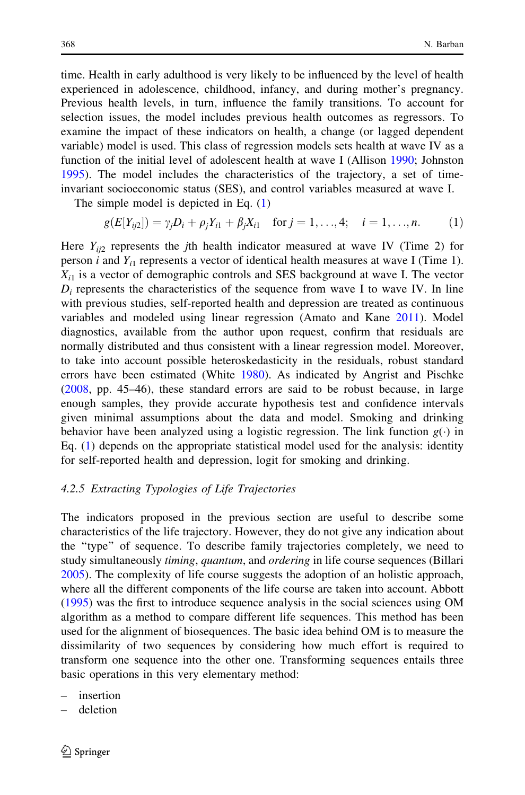time. Health in early adulthood is very likely to be influenced by the level of health experienced in adolescence, childhood, infancy, and during mother's pregnancy. Previous health levels, in turn, influence the family transitions. To account for selection issues, the model includes previous health outcomes as regressors. To examine the impact of these indicators on health, a change (or lagged dependent variable) model is used. This class of regression models sets health at wave IV as a function of the initial level of adolescent health at wave I (Allison [1990;](#page-26-0) Johnston [1995\)](#page-27-0). The model includes the characteristics of the trajectory, a set of timeinvariant socioeconomic status (SES), and control variables measured at wave I.

The simple model is depicted in Eq. (1)

$$
g(E[Y_{ij2}]) = \gamma_j D_i + \rho_j Y_{i1} + \beta_j X_{i1} \quad \text{for } j = 1, ..., 4; \quad i = 1, ..., n. \tag{1}
$$

Here  $Y_{i/2}$  represents the jth health indicator measured at wave IV (Time 2) for person *i* and  $Y_{i1}$  represents a vector of identical health measures at wave I (Time 1).  $X_{i1}$  is a vector of demographic controls and SES background at wave I. The vector  $D_i$  represents the characteristics of the sequence from wave I to wave IV. In line with previous studies, self-reported health and depression are treated as continuous variables and modeled using linear regression (Amato and Kane [2011\)](#page-26-0). Model diagnostics, available from the author upon request, confirm that residuals are normally distributed and thus consistent with a linear regression model. Moreover, to take into account possible heteroskedasticity in the residuals, robust standard errors have been estimated (White [1980\)](#page-28-0). As indicated by Angrist and Pischke [\(2008](#page-26-0), pp. 45–46), these standard errors are said to be robust because, in large enough samples, they provide accurate hypothesis test and confidence intervals given minimal assumptions about the data and model. Smoking and drinking behavior have been analyzed using a logistic regression. The link function  $g(\cdot)$  in Eq. (1) depends on the appropriate statistical model used for the analysis: identity for self-reported health and depression, logit for smoking and drinking.

# 4.2.5 Extracting Typologies of Life Trajectories

The indicators proposed in the previous section are useful to describe some characteristics of the life trajectory. However, they do not give any indication about the ''type'' of sequence. To describe family trajectories completely, we need to study simultaneously *timing, quantum,* and *ordering* in life course sequences (Billari [2005\)](#page-26-0). The complexity of life course suggests the adoption of an holistic approach, where all the different components of the life course are taken into account. Abbott [\(1995](#page-25-0)) was the first to introduce sequence analysis in the social sciences using OM algorithm as a method to compare different life sequences. This method has been used for the alignment of biosequences. The basic idea behind OM is to measure the dissimilarity of two sequences by considering how much effort is required to transform one sequence into the other one. Transforming sequences entails three basic operations in this very elementary method:

- insertion
- deletion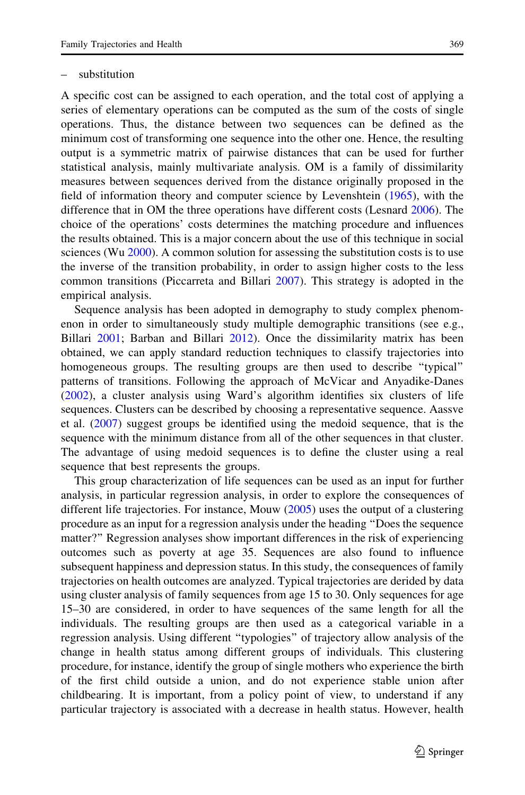#### substitution

A specific cost can be assigned to each operation, and the total cost of applying a series of elementary operations can be computed as the sum of the costs of single operations. Thus, the distance between two sequences can be defined as the minimum cost of transforming one sequence into the other one. Hence, the resulting output is a symmetric matrix of pairwise distances that can be used for further statistical analysis, mainly multivariate analysis. OM is a family of dissimilarity measures between sequences derived from the distance originally proposed in the field of information theory and computer science by Levenshtein ([1965](#page-27-0)), with the difference that in OM the three operations have different costs (Lesnard [2006](#page-27-0)). The choice of the operations' costs determines the matching procedure and influences the results obtained. This is a major concern about the use of this technique in social sciences (Wu [2000\)](#page-28-0). A common solution for assessing the substitution costs is to use the inverse of the transition probability, in order to assign higher costs to the less common transitions (Piccarreta and Billari [2007\)](#page-28-0). This strategy is adopted in the empirical analysis.

Sequence analysis has been adopted in demography to study complex phenomenon in order to simultaneously study multiple demographic transitions (see e.g., Billari [2001](#page-26-0); Barban and Billari [2012](#page-26-0)). Once the dissimilarity matrix has been obtained, we can apply standard reduction techniques to classify trajectories into homogeneous groups. The resulting groups are then used to describe ''typical'' patterns of transitions. Following the approach of McVicar and Anyadike-Danes [\(2002](#page-27-0)), a cluster analysis using Ward's algorithm identifies six clusters of life sequences. Clusters can be described by choosing a representative sequence. Aassve et al. ([2007\)](#page-25-0) suggest groups be identified using the medoid sequence, that is the sequence with the minimum distance from all of the other sequences in that cluster. The advantage of using medoid sequences is to define the cluster using a real sequence that best represents the groups.

This group characterization of life sequences can be used as an input for further analysis, in particular regression analysis, in order to explore the consequences of different life trajectories. For instance, Mouw [\(2005](#page-27-0)) uses the output of a clustering procedure as an input for a regression analysis under the heading ''Does the sequence matter?'' Regression analyses show important differences in the risk of experiencing outcomes such as poverty at age 35. Sequences are also found to influence subsequent happiness and depression status. In this study, the consequences of family trajectories on health outcomes are analyzed. Typical trajectories are derided by data using cluster analysis of family sequences from age 15 to 30. Only sequences for age 15–30 are considered, in order to have sequences of the same length for all the individuals. The resulting groups are then used as a categorical variable in a regression analysis. Using different ''typologies'' of trajectory allow analysis of the change in health status among different groups of individuals. This clustering procedure, for instance, identify the group of single mothers who experience the birth of the first child outside a union, and do not experience stable union after childbearing. It is important, from a policy point of view, to understand if any particular trajectory is associated with a decrease in health status. However, health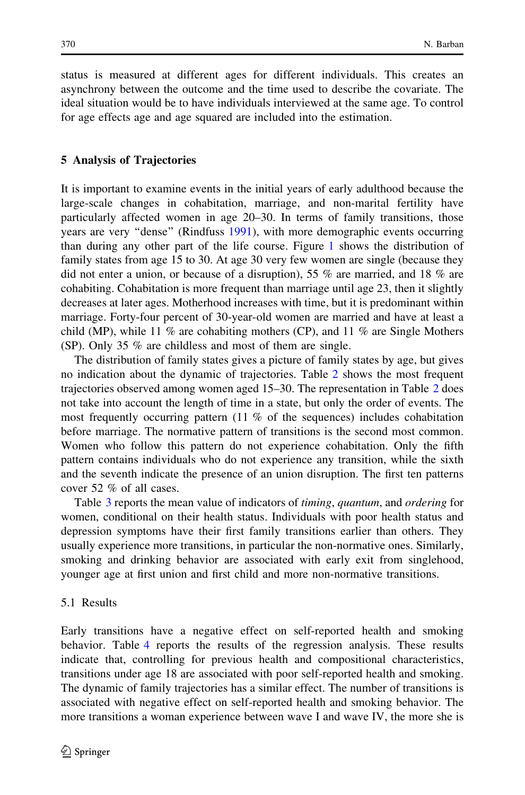status is measured at different ages for different individuals. This creates an asynchrony between the outcome and the time used to describe the covariate. The ideal situation would be to have individuals interviewed at the same age. To control for age effects age and age squared are included into the estimation.

# 5 Analysis of Trajectories

It is important to examine events in the initial years of early adulthood because the large-scale changes in cohabitation, marriage, and non-marital fertility have particularly affected women in age 20–30. In terms of family transitions, those years are very ''dense'' (Rindfuss [1991](#page-28-0)), with more demographic events occurring than during any other part of the life course. Figure [1](#page-14-0) shows the distribution of family states from age 15 to 30. At age 30 very few women are single (because they did not enter a union, or because of a disruption), 55 % are married, and 18 % are cohabiting. Cohabitation is more frequent than marriage until age 23, then it slightly decreases at later ages. Motherhood increases with time, but it is predominant within marriage. Forty-four percent of 30-year-old women are married and have at least a child (MP), while 11 % are cohabiting mothers (CP), and 11 % are Single Mothers (SP). Only 35 % are childless and most of them are single.

The distribution of family states gives a picture of family states by age, but gives no indication about the dynamic of trajectories. Table [2](#page-15-0) shows the most frequent trajectories observed among women aged 15–30. The representation in Table [2](#page-15-0) does not take into account the length of time in a state, but only the order of events. The most frequently occurring pattern  $(11\%$  of the sequences) includes cohabitation before marriage. The normative pattern of transitions is the second most common. Women who follow this pattern do not experience cohabitation. Only the fifth pattern contains individuals who do not experience any transition, while the sixth and the seventh indicate the presence of an union disruption. The first ten patterns cover 52 % of all cases.

Table [3](#page-15-0) reports the mean value of indicators of *timing*, *quantum*, and *ordering* for women, conditional on their health status. Individuals with poor health status and depression symptoms have their first family transitions earlier than others. They usually experience more transitions, in particular the non-normative ones. Similarly, smoking and drinking behavior are associated with early exit from singlehood, younger age at first union and first child and more non-normative transitions.

# 5.1 Results

Early transitions have a negative effect on self-reported health and smoking behavior. Table [4](#page-16-0) reports the results of the regression analysis. These results indicate that, controlling for previous health and compositional characteristics, transitions under age 18 are associated with poor self-reported health and smoking. The dynamic of family trajectories has a similar effect. The number of transitions is associated with negative effect on self-reported health and smoking behavior. The more transitions a woman experience between wave I and wave IV, the more she is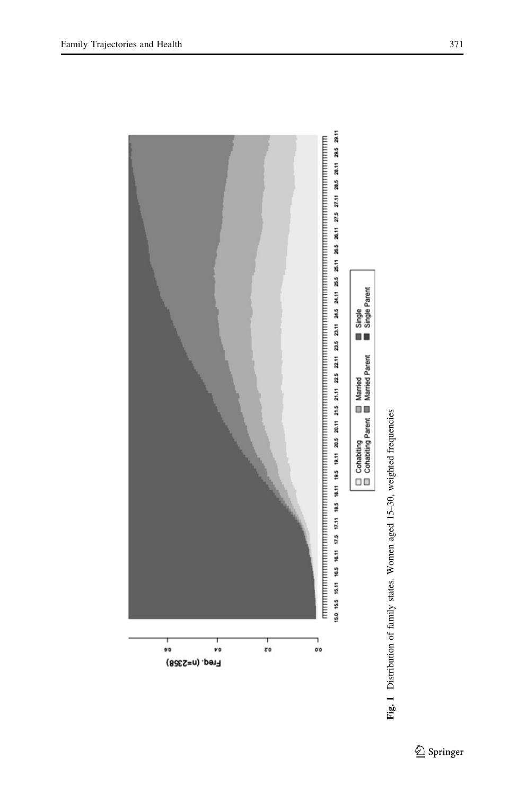<span id="page-14-0"></span>

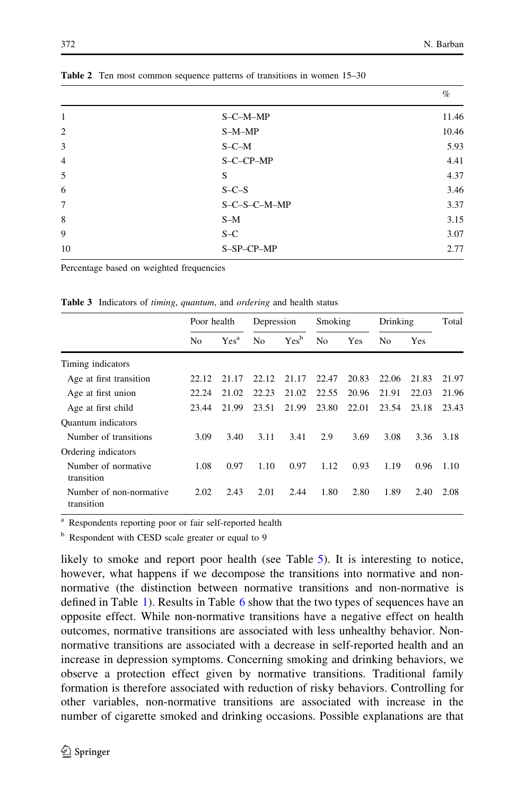|                |              | $\%$  |
|----------------|--------------|-------|
| 1              | S-C-M-MP     | 11.46 |
| $\overline{2}$ | $S-M-MP$     | 10.46 |
| 3              | $S-C-M$      | 5.93  |
| $\overline{4}$ | S-C-CP-MP    | 4.41  |
| 5              | S            | 4.37  |
| 6              | $S-C-S$      | 3.46  |
| $\overline{7}$ | S-C-S-C-M-MP | 3.37  |
| 8              | $S-M$        | 3.15  |
| 9              | $S-C$        | 3.07  |
| 10             | S-SP-CP-MP   | 2.77  |
|                |              |       |

<span id="page-15-0"></span>Table 2 Ten most common sequence patterns of transitions in women 15–30

Percentage based on weighted frequencies

|                                       | Poor health    |                  | Depression     |                  | Smoking        |       | Drinking |            | Total |
|---------------------------------------|----------------|------------------|----------------|------------------|----------------|-------|----------|------------|-------|
|                                       | N <sub>0</sub> | Yes <sup>a</sup> | N <sub>0</sub> | Yes <sup>b</sup> | N <sub>0</sub> | Yes   | No       | <b>Yes</b> |       |
| Timing indicators                     |                |                  |                |                  |                |       |          |            |       |
| Age at first transition               | 22.12          | 21.17            | 22.12          | 21.17            | 22.47          | 20.83 | 22.06    | 21.83      | 21.97 |
| Age at first union                    | 22.24          | 21.02            | 22.23          | 21.02            | 22.55          | 20.96 | 21.91    | 22.03      | 21.96 |
| Age at first child                    | 23.44          | 21.99            | 23.51          | 21.99            | 23.80          | 22.01 | 23.54    | 23.18      | 23.43 |
| <b>Ouantum</b> indicators             |                |                  |                |                  |                |       |          |            |       |
| Number of transitions                 | 3.09           | 3.40             | 3.11           | 3.41             | 2.9            | 3.69  | 3.08     | 3.36       | 3.18  |
| Ordering indicators                   |                |                  |                |                  |                |       |          |            |       |
| Number of normative<br>transition     | 1.08           | 0.97             | 1.10           | 0.97             | 1.12           | 0.93  | 1.19     | 0.96       | 1.10  |
| Number of non-normative<br>transition | 2.02           | 2.43             | 2.01           | 2.44             | 1.80           | 2.80  | 1.89     | 2.40       | 2.08  |

Table 3 Indicators of timing, quantum, and ordering and health status

<sup>a</sup> Respondents reporting poor or fair self-reported health

<sup>b</sup> Respondent with CESD scale greater or equal to 9

likely to smoke and report poor health (see Table [5\)](#page-17-0). It is interesting to notice, however, what happens if we decompose the transitions into normative and nonnormative (the distinction between normative transitions and non-normative is defined in Table [1](#page-10-0)). Results in Table [6](#page-18-0) show that the two types of sequences have an opposite effect. While non-normative transitions have a negative effect on health outcomes, normative transitions are associated with less unhealthy behavior. Nonnormative transitions are associated with a decrease in self-reported health and an increase in depression symptoms. Concerning smoking and drinking behaviors, we observe a protection effect given by normative transitions. Traditional family formation is therefore associated with reduction of risky behaviors. Controlling for other variables, non-normative transitions are associated with increase in the number of cigarette smoked and drinking occasions. Possible explanations are that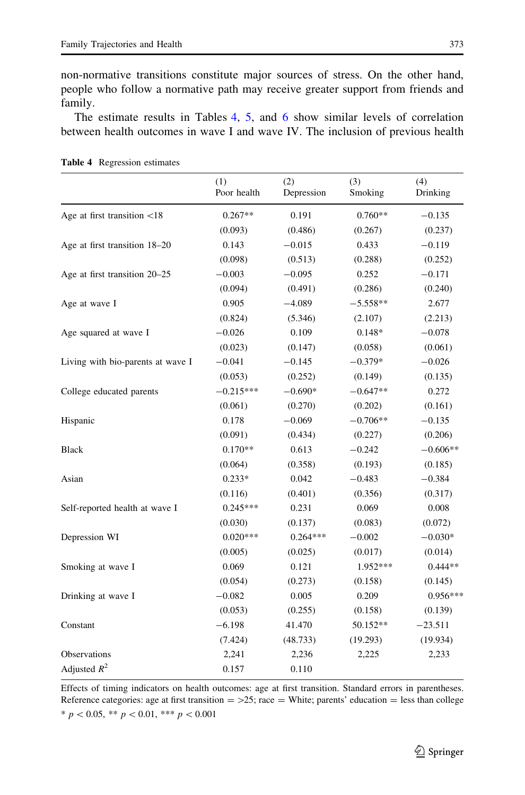<span id="page-16-0"></span>non-normative transitions constitute major sources of stress. On the other hand, people who follow a normative path may receive greater support from friends and family.

The estimate results in Tables 4, [5,](#page-17-0) and [6](#page-18-0) show similar levels of correlation between health outcomes in wave I and wave IV. The inclusion of previous health

|                                   | (1)<br>Poor health | (2)<br>Depression | (3)<br>Smoking | (4)<br>Drinking |
|-----------------------------------|--------------------|-------------------|----------------|-----------------|
| Age at first transition <18       | $0.267**$          | 0.191             | $0.760**$      | $-0.135$        |
|                                   | (0.093)            | (0.486)           | (0.267)        | (0.237)         |
| Age at first transition 18-20     | 0.143              | $-0.015$          | 0.433          | $-0.119$        |
|                                   | (0.098)            | (0.513)           | (0.288)        | (0.252)         |
| Age at first transition 20-25     | $-0.003$           | $-0.095$          | 0.252          | $-0.171$        |
|                                   | (0.094)            | (0.491)           | (0.286)        | (0.240)         |
| Age at wave I                     | 0.905              | $-4.089$          | $-5.558**$     | 2.677           |
|                                   | (0.824)            | (5.346)           | (2.107)        | (2.213)         |
| Age squared at wave I             | $-0.026$           | 0.109             | $0.148*$       | $-0.078$        |
|                                   | (0.023)            | (0.147)           | (0.058)        | (0.061)         |
| Living with bio-parents at wave I | $-0.041$           | $-0.145$          | $-0.379*$      | $-0.026$        |
|                                   | (0.053)            | (0.252)           | (0.149)        | (0.135)         |
| College educated parents          | $-0.215***$        | $-0.690*$         | $-0.647**$     | 0.272           |
|                                   | (0.061)            | (0.270)           | (0.202)        | (0.161)         |
| Hispanic                          | 0.178              | $-0.069$          | $-0.706**$     | $-0.135$        |
|                                   | (0.091)            | (0.434)           | (0.227)        | (0.206)         |
| <b>Black</b>                      | $0.170**$          | 0.613             | $-0.242$       | $-0.606**$      |
|                                   | (0.064)            | (0.358)           | (0.193)        | (0.185)         |
| Asian                             | $0.233*$           | 0.042             | $-0.483$       | $-0.384$        |
|                                   | (0.116)            | (0.401)           | (0.356)        | (0.317)         |
| Self-reported health at wave I    | $0.245***$         | 0.231             | 0.069          | 0.008           |
|                                   | (0.030)            | (0.137)           | (0.083)        | (0.072)         |
| Depression WI                     | $0.020***$         | $0.264***$        | $-0.002$       | $-0.030*$       |
|                                   | (0.005)            | (0.025)           | (0.017)        | (0.014)         |
| Smoking at wave I                 | 0.069              | 0.121             | 1.952***       | $0.444**$       |
|                                   | (0.054)            | (0.273)           | (0.158)        | (0.145)         |
| Drinking at wave I                | $-0.082$           | 0.005             | 0.209          | $0.956***$      |
|                                   | (0.053)            | (0.255)           | (0.158)        | (0.139)         |
| Constant                          | $-6.198$           | 41.470            | 50.152**       | $-23.511$       |
|                                   | (7.424)            | (48.733)          | (19.293)       | (19.934)        |
| Observations                      | 2,241              | 2,236             | 2,225          | 2,233           |
| Adjusted $R^2$                    | 0.157              | 0.110             |                |                 |

Table 4 Regression estimates

Effects of timing indicators on health outcomes: age at first transition. Standard errors in parentheses. Reference categories: age at first transition  $=$  >25; race  $=$  White; parents' education  $=$  less than college  $* p < 0.05, ** p < 0.01, ** p < 0.001$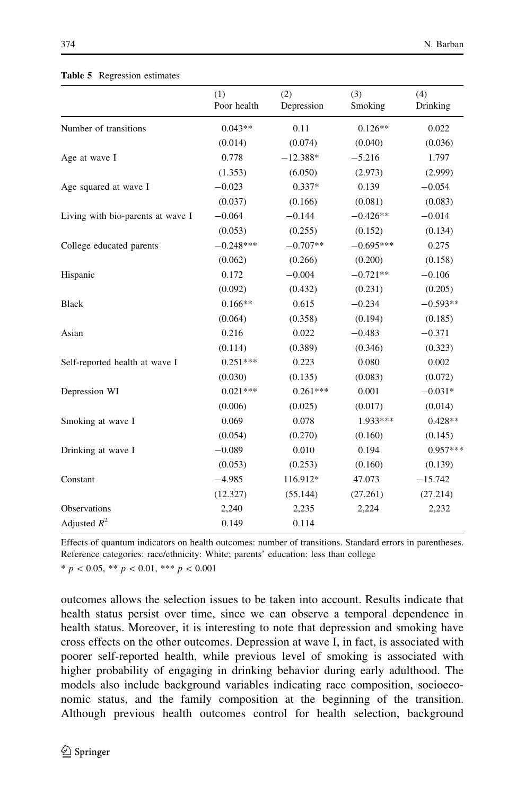|                                   | (1)<br>Poor health | (2)<br>Depression | (3)<br>Smoking | (4)<br>Drinking |
|-----------------------------------|--------------------|-------------------|----------------|-----------------|
| Number of transitions             | $0.043**$          | 0.11              | $0.126**$      | 0.022           |
|                                   | (0.014)            | (0.074)           | (0.040)        | (0.036)         |
| Age at wave I                     | 0.778              | $-12.388*$        | $-5.216$       | 1.797           |
|                                   | (1.353)            | (6.050)           | (2.973)        | (2.999)         |
| Age squared at wave I             | $-0.023$           | $0.337*$          | 0.139          | $-0.054$        |
|                                   | (0.037)            | (0.166)           | (0.081)        | (0.083)         |
| Living with bio-parents at wave I | $-0.064$           | $-0.144$          | $-0.426**$     | $-0.014$        |
|                                   | (0.053)            | (0.255)           | (0.152)        | (0.134)         |
| College educated parents          | $-0.248***$        | $-0.707**$        | $-0.695***$    | 0.275           |
|                                   | (0.062)            | (0.266)           | (0.200)        | (0.158)         |
| Hispanic                          | 0.172              | $-0.004$          | $-0.721**$     | $-0.106$        |
|                                   | (0.092)            | (0.432)           | (0.231)        | (0.205)         |
| <b>Black</b>                      | $0.166**$          | 0.615             | $-0.234$       | $-0.593**$      |
|                                   | (0.064)            | (0.358)           | (0.194)        | (0.185)         |
| Asian                             | 0.216              | 0.022             | $-0.483$       | $-0.371$        |
|                                   | (0.114)            | (0.389)           | (0.346)        | (0.323)         |
| Self-reported health at wave I    | $0.251***$         | 0.223             | 0.080          | 0.002           |
|                                   | (0.030)            | (0.135)           | (0.083)        | (0.072)         |
| Depression WI                     | $0.021***$         | $0.261***$        | 0.001          | $-0.031*$       |
|                                   | (0.006)            | (0.025)           | (0.017)        | (0.014)         |
| Smoking at wave I                 | 0.069              | 0.078             | 1.933***       | $0.428**$       |
|                                   | (0.054)            | (0.270)           | (0.160)        | (0.145)         |
| Drinking at wave I                | $-0.089$           | 0.010             | 0.194          | $0.957***$      |
|                                   | (0.053)            | (0.253)           | (0.160)        | (0.139)         |
| Constant                          | $-4.985$           | 116.912*          | 47.073         | $-15.742$       |
|                                   | (12.327)           | (55.144)          | (27.261)       | (27.214)        |
| Observations                      | 2,240              | 2,235             | 2,224          | 2,232           |
| Adjusted $R^2$                    | 0.149              | 0.114             |                |                 |

#### <span id="page-17-0"></span>Table 5 Regression estimates

Effects of quantum indicators on health outcomes: number of transitions. Standard errors in parentheses. Reference categories: race/ethnicity: White; parents' education: less than college

 $* p < 0.05, ** p < 0.01, ** p < 0.001$ 

outcomes allows the selection issues to be taken into account. Results indicate that health status persist over time, since we can observe a temporal dependence in health status. Moreover, it is interesting to note that depression and smoking have cross effects on the other outcomes. Depression at wave I, in fact, is associated with poorer self-reported health, while previous level of smoking is associated with higher probability of engaging in drinking behavior during early adulthood. The models also include background variables indicating race composition, socioeconomic status, and the family composition at the beginning of the transition. Although previous health outcomes control for health selection, background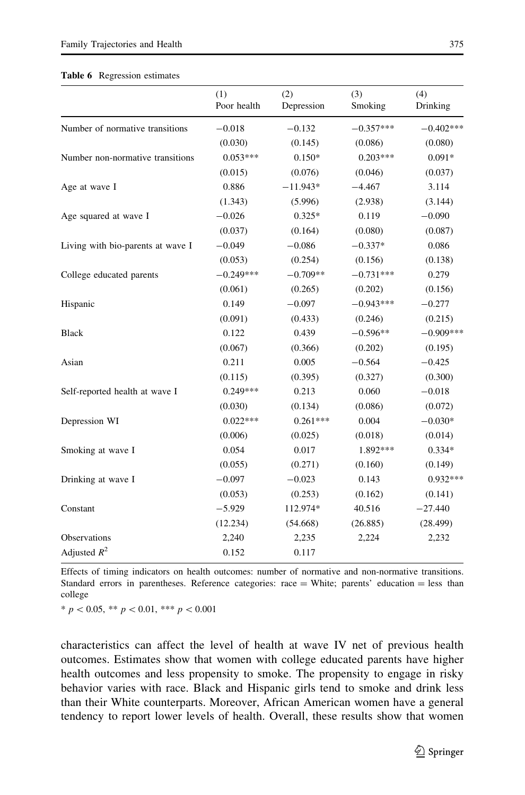#### <span id="page-18-0"></span>Table 6 Regression estimates

|                                   | (1)<br>Poor health | (2)<br>Depression | (3)<br>Smoking | (4)<br>Drinking |
|-----------------------------------|--------------------|-------------------|----------------|-----------------|
| Number of normative transitions   | $-0.018$           | $-0.132$          | $-0.357***$    | $-0.402***$     |
|                                   | (0.030)            | (0.145)           | (0.086)        | (0.080)         |
| Number non-normative transitions  | $0.053***$         | $0.150*$          | $0.203***$     | $0.091*$        |
|                                   | (0.015)            | (0.076)           | (0.046)        | (0.037)         |
| Age at wave I                     | 0.886              | $-11.943*$        | $-4.467$       | 3.114           |
|                                   | (1.343)            | (5.996)           | (2.938)        | (3.144)         |
| Age squared at wave I             | $-0.026$           | $0.325*$          | 0.119          | $-0.090$        |
|                                   | (0.037)            | (0.164)           | (0.080)        | (0.087)         |
| Living with bio-parents at wave I | $-0.049$           | $-0.086$          | $-0.337*$      | 0.086           |
|                                   | (0.053)            | (0.254)           | (0.156)        | (0.138)         |
| College educated parents          | $-0.249***$        | $-0.709**$        | $-0.731***$    | 0.279           |
|                                   | (0.061)            | (0.265)           | (0.202)        | (0.156)         |
| Hispanic                          | 0.149              | $-0.097$          | $-0.943***$    | $-0.277$        |
|                                   | (0.091)            | (0.433)           | (0.246)        | (0.215)         |
| <b>Black</b>                      | 0.122              | 0.439             | $-0.596**$     | $-0.909***$     |
|                                   | (0.067)            | (0.366)           | (0.202)        | (0.195)         |
| Asian                             | 0.211              | 0.005             | $-0.564$       | $-0.425$        |
|                                   | (0.115)            | (0.395)           | (0.327)        | (0.300)         |
| Self-reported health at wave I    | $0.249***$         | 0.213             | 0.060          | $-0.018$        |
|                                   | (0.030)            | (0.134)           | (0.086)        | (0.072)         |
| Depression WI                     | $0.022***$         | $0.261***$        | 0.004          | $-0.030*$       |
|                                   | (0.006)            | (0.025)           | (0.018)        | (0.014)         |
| Smoking at wave I                 | 0.054              | 0.017             | 1.892***       | $0.334*$        |
|                                   | (0.055)            | (0.271)           | (0.160)        | (0.149)         |
| Drinking at wave I                | $-0.097$           | $-0.023$          | 0.143          | $0.932***$      |
|                                   | (0.053)            | (0.253)           | (0.162)        | (0.141)         |
| Constant                          | $-5.929$           | 112.974*          | 40.516         | $-27.440$       |
|                                   | (12.234)           | (54.668)          | (26.885)       | (28.499)        |
| Observations                      | 2,240              | 2,235             | 2,224          | 2,232           |
| Adjusted $R^2$                    | 0.152              | 0.117             |                |                 |

Effects of timing indicators on health outcomes: number of normative and non-normative transitions. Standard errors in parentheses. Reference categories: race = White; parents' education = less than college

 $* p < 0.05, ** p < 0.01, ** p < 0.001$ 

characteristics can affect the level of health at wave IV net of previous health outcomes. Estimates show that women with college educated parents have higher health outcomes and less propensity to smoke. The propensity to engage in risky behavior varies with race. Black and Hispanic girls tend to smoke and drink less than their White counterparts. Moreover, African American women have a general tendency to report lower levels of health. Overall, these results show that women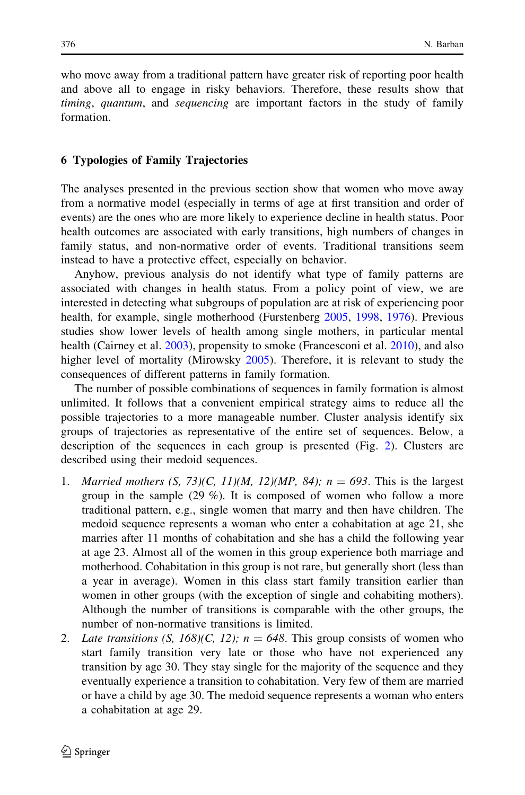who move away from a traditional pattern have greater risk of reporting poor health and above all to engage in risky behaviors. Therefore, these results show that timing, quantum, and sequencing are important factors in the study of family formation.

# 6 Typologies of Family Trajectories

The analyses presented in the previous section show that women who move away from a normative model (especially in terms of age at first transition and order of events) are the ones who are more likely to experience decline in health status. Poor health outcomes are associated with early transitions, high numbers of changes in family status, and non-normative order of events. Traditional transitions seem instead to have a protective effect, especially on behavior.

Anyhow, previous analysis do not identify what type of family patterns are associated with changes in health status. From a policy point of view, we are interested in detecting what subgroups of population are at risk of experiencing poor health, for example, single motherhood (Furstenberg [2005,](#page-27-0) [1998,](#page-26-0) [1976\)](#page-26-0). Previous studies show lower levels of health among single mothers, in particular mental health (Cairney et al. [2003](#page-26-0)), propensity to smoke (Francesconi et al. [2010\)](#page-26-0), and also higher level of mortality (Mirowsky [2005\)](#page-27-0). Therefore, it is relevant to study the consequences of different patterns in family formation.

The number of possible combinations of sequences in family formation is almost unlimited. It follows that a convenient empirical strategy aims to reduce all the possible trajectories to a more manageable number. Cluster analysis identify six groups of trajectories as representative of the entire set of sequences. Below, a description of the sequences in each group is presented (Fig. [2](#page-21-0)). Clusters are described using their medoid sequences.

- 1. Married mothers  $(S, 73)(C, 11)(M, 12)(MP, 84)$ ;  $n = 693$ . This is the largest group in the sample (29 %). It is composed of women who follow a more traditional pattern, e.g., single women that marry and then have children. The medoid sequence represents a woman who enter a cohabitation at age 21, she marries after 11 months of cohabitation and she has a child the following year at age 23. Almost all of the women in this group experience both marriage and motherhood. Cohabitation in this group is not rare, but generally short (less than a year in average). Women in this class start family transition earlier than women in other groups (with the exception of single and cohabiting mothers). Although the number of transitions is comparable with the other groups, the number of non-normative transitions is limited.
- 2. Late transitions  $(S, 168)(C, 12)$ ;  $n = 648$ . This group consists of women who start family transition very late or those who have not experienced any transition by age 30. They stay single for the majority of the sequence and they eventually experience a transition to cohabitation. Very few of them are married or have a child by age 30. The medoid sequence represents a woman who enters a cohabitation at age 29.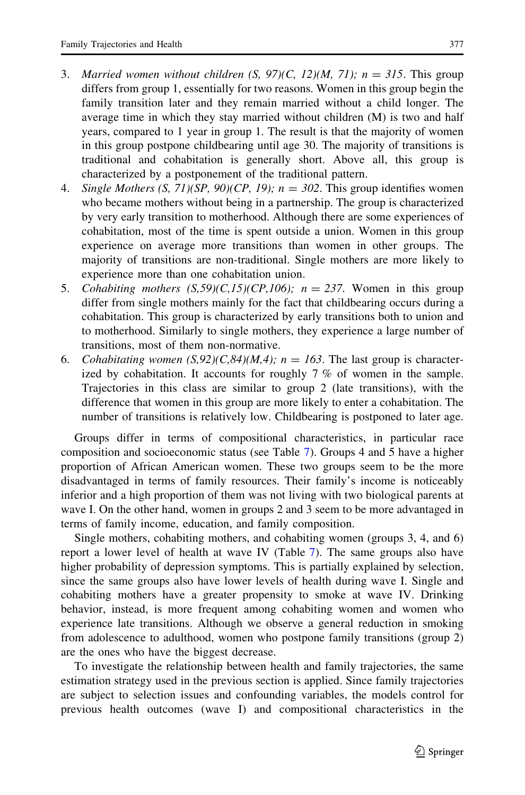- 3. Married women without children  $(S, 97)(C, 12)(M, 71)$ ;  $n = 315$ . This group differs from group 1, essentially for two reasons. Women in this group begin the family transition later and they remain married without a child longer. The average time in which they stay married without children (M) is two and half years, compared to 1 year in group 1. The result is that the majority of women in this group postpone childbearing until age 30. The majority of transitions is traditional and cohabitation is generally short. Above all, this group is characterized by a postponement of the traditional pattern.
- 4. Single Mothers  $(S, 71)(SP, 90)(CP, 19)$ ;  $n = 302$ . This group identifies women who became mothers without being in a partnership. The group is characterized by very early transition to motherhood. Although there are some experiences of cohabitation, most of the time is spent outside a union. Women in this group experience on average more transitions than women in other groups. The majority of transitions are non-traditional. Single mothers are more likely to experience more than one cohabitation union.
- 5. Cohabiting mothers  $(S,59)(C,15)(CP,106)$ ;  $n = 237$ . Women in this group differ from single mothers mainly for the fact that childbearing occurs during a cohabitation. This group is characterized by early transitions both to union and to motherhood. Similarly to single mothers, they experience a large number of transitions, most of them non-normative.
- 6. Cohabitating women  $(S, 92)(C, 84)(M, 4)$ ;  $n = 163$ . The last group is characterized by cohabitation. It accounts for roughly 7 % of women in the sample. Trajectories in this class are similar to group 2 (late transitions), with the difference that women in this group are more likely to enter a cohabitation. The number of transitions is relatively low. Childbearing is postponed to later age.

Groups differ in terms of compositional characteristics, in particular race composition and socioeconomic status (see Table [7\)](#page-22-0). Groups 4 and 5 have a higher proportion of African American women. These two groups seem to be the more disadvantaged in terms of family resources. Their family's income is noticeably inferior and a high proportion of them was not living with two biological parents at wave I. On the other hand, women in groups 2 and 3 seem to be more advantaged in terms of family income, education, and family composition.

Single mothers, cohabiting mothers, and cohabiting women (groups 3, 4, and 6) report a lower level of health at wave IV (Table [7](#page-22-0)). The same groups also have higher probability of depression symptoms. This is partially explained by selection, since the same groups also have lower levels of health during wave I. Single and cohabiting mothers have a greater propensity to smoke at wave IV. Drinking behavior, instead, is more frequent among cohabiting women and women who experience late transitions. Although we observe a general reduction in smoking from adolescence to adulthood, women who postpone family transitions (group 2) are the ones who have the biggest decrease.

To investigate the relationship between health and family trajectories, the same estimation strategy used in the previous section is applied. Since family trajectories are subject to selection issues and confounding variables, the models control for previous health outcomes (wave I) and compositional characteristics in the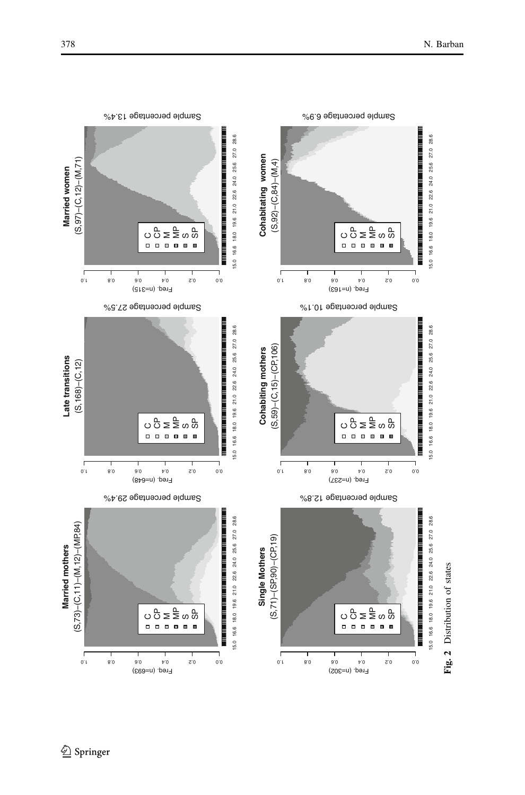

<span id="page-21-0"></span>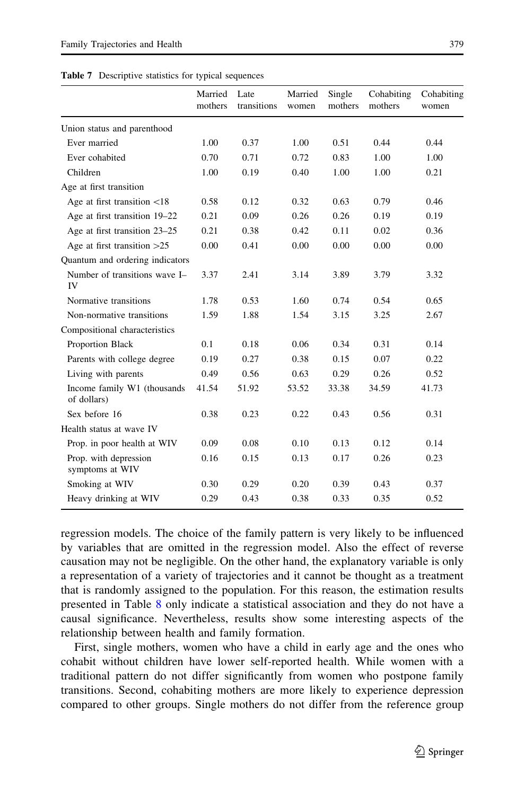<span id="page-22-0"></span>

|  | <b>Table 7</b> Descriptive statistics for typical sequences |  |  |  |  |
|--|-------------------------------------------------------------|--|--|--|--|
|--|-------------------------------------------------------------|--|--|--|--|

|                                            | Married<br>mothers | Late<br>transitions | Married<br>women | Single<br>mothers | Cohabiting<br>mothers | Cohabiting<br>women |
|--------------------------------------------|--------------------|---------------------|------------------|-------------------|-----------------------|---------------------|
| Union status and parenthood                |                    |                     |                  |                   |                       |                     |
| Ever married                               | 1.00               | 0.37                | 1.00             | 0.51              | 0.44                  | 0.44                |
| Ever cohabited                             | 0.70               | 0.71                | 0.72             | 0.83              | 1.00                  | 1.00                |
| Children                                   | 1.00               | 0.19                | 0.40             | 1.00              | 1.00                  | 0.21                |
| Age at first transition                    |                    |                     |                  |                   |                       |                     |
| Age at first transition $<$ 18             | 0.58               | 0.12                | 0.32             | 0.63              | 0.79                  | 0.46                |
| Age at first transition 19–22              | 0.21               | 0.09                | 0.26             | 0.26              | 0.19                  | 0.19                |
| Age at first transition 23-25              | 0.21               | 0.38                | 0.42             | 0.11              | 0.02                  | 0.36                |
| Age at first transition $>25$              | 0.00               | 0.41                | 0.00             | 0.00              | 0.00                  | 0.00                |
| Quantum and ordering indicators            |                    |                     |                  |                   |                       |                     |
| Number of transitions wave I-<br>IV        | 3.37               | 2.41                | 3.14             | 3.89              | 3.79                  | 3.32                |
| Normative transitions                      | 1.78               | 0.53                | 1.60             | 0.74              | 0.54                  | 0.65                |
| Non-normative transitions                  | 1.59               | 1.88                | 1.54             | 3.15              | 3.25                  | 2.67                |
| Compositional characteristics              |                    |                     |                  |                   |                       |                     |
| Proportion Black                           | 0.1                | 0.18                | 0.06             | 0.34              | 0.31                  | 0.14                |
| Parents with college degree                | 0.19               | 0.27                | 0.38             | 0.15              | 0.07                  | 0.22                |
| Living with parents                        | 0.49               | 0.56                | 0.63             | 0.29              | 0.26                  | 0.52                |
| Income family W1 (thousands<br>of dollars) | 41.54              | 51.92               | 53.52            | 33.38             | 34.59                 | 41.73               |
| Sex before 16                              | 0.38               | 0.23                | 0.22             | 0.43              | 0.56                  | 0.31                |
| Health status at wave IV                   |                    |                     |                  |                   |                       |                     |
| Prop. in poor health at WIV                | 0.09               | 0.08                | 0.10             | 0.13              | 0.12                  | 0.14                |
| Prop. with depression<br>symptoms at WIV   | 0.16               | 0.15                | 0.13             | 0.17              | 0.26                  | 0.23                |
| Smoking at WIV                             | 0.30               | 0.29                | 0.20             | 0.39              | 0.43                  | 0.37                |
| Heavy drinking at WIV                      | 0.29               | 0.43                | 0.38             | 0.33              | 0.35                  | 0.52                |

regression models. The choice of the family pattern is very likely to be influenced by variables that are omitted in the regression model. Also the effect of reverse causation may not be negligible. On the other hand, the explanatory variable is only a representation of a variety of trajectories and it cannot be thought as a treatment that is randomly assigned to the population. For this reason, the estimation results presented in Table [8](#page-23-0) only indicate a statistical association and they do not have a causal significance. Nevertheless, results show some interesting aspects of the relationship between health and family formation.

First, single mothers, women who have a child in early age and the ones who cohabit without children have lower self-reported health. While women with a traditional pattern do not differ significantly from women who postpone family transitions. Second, cohabiting mothers are more likely to experience depression compared to other groups. Single mothers do not differ from the reference group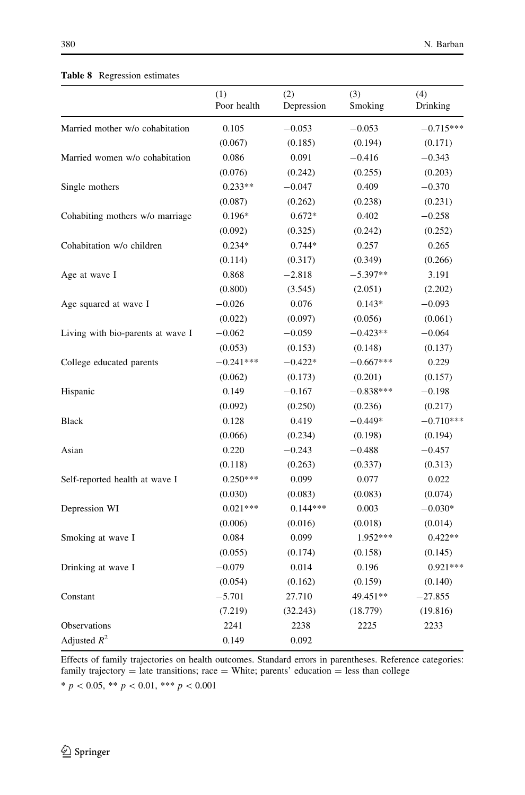|                                   | (1)<br>Poor health | (2)<br>Depression | (3)<br>Smoking | (4)<br>Drinking |
|-----------------------------------|--------------------|-------------------|----------------|-----------------|
| Married mother w/o cohabitation   | 0.105              | $-0.053$          | $-0.053$       | $-0.715***$     |
|                                   | (0.067)            | (0.185)           | (0.194)        | (0.171)         |
| Married women w/o cohabitation    | 0.086              | 0.091             | $-0.416$       | $-0.343$        |
|                                   | (0.076)            | (0.242)           | (0.255)        | (0.203)         |
| Single mothers                    | $0.233**$          | $-0.047$          | 0.409          | $-0.370$        |
|                                   | (0.087)            | (0.262)           | (0.238)        | (0.231)         |
| Cohabiting mothers w/o marriage   | $0.196*$           | $0.672*$          | 0.402          | $-0.258$        |
|                                   | (0.092)            | (0.325)           | (0.242)        | (0.252)         |
| Cohabitation w/o children         | $0.234*$           | $0.744*$          | 0.257          | 0.265           |
|                                   | (0.114)            | (0.317)           | (0.349)        | (0.266)         |
| Age at wave I                     | 0.868              | $-2.818$          | $-5.397**$     | 3.191           |
|                                   | (0.800)            | (3.545)           | (2.051)        | (2.202)         |
| Age squared at wave I             | $-0.026$           | 0.076             | $0.143*$       | $-0.093$        |
|                                   | (0.022)            | (0.097)           | (0.056)        | (0.061)         |
| Living with bio-parents at wave I | $-0.062$           | $-0.059$          | $-0.423**$     | $-0.064$        |
|                                   | (0.053)            | (0.153)           | (0.148)        | (0.137)         |
| College educated parents          | $-0.241***$        | $-0.422*$         | $-0.667***$    | 0.229           |
|                                   | (0.062)            | (0.173)           | (0.201)        | (0.157)         |
| Hispanic                          | 0.149              | $-0.167$          | $-0.838***$    | $-0.198$        |
|                                   | (0.092)            | (0.250)           | (0.236)        | (0.217)         |
| <b>Black</b>                      | 0.128              | 0.419             | $-0.449*$      | $-0.710***$     |
|                                   | (0.066)            | (0.234)           | (0.198)        | (0.194)         |
| Asian                             | 0.220              | $-0.243$          | $-0.488$       | $-0.457$        |
|                                   | (0.118)            | (0.263)           | (0.337)        | (0.313)         |
| Self-reported health at wave I    | $0.250***$         | 0.099             | 0.077          | 0.022           |
|                                   | (0.030)            | (0.083)           | (0.083)        | (0.074)         |
| Depression WI                     | $0.021***$         | $0.144***$        | 0.003          | $-0.030*$       |
|                                   | (0.006)            | (0.016)           | (0.018)        | (0.014)         |
| Smoking at wave I                 | 0.084              | 0.099             | 1.952***       | $0.422**$       |
|                                   | (0.055)            | (0.174)           | (0.158)        | (0.145)         |
| Drinking at wave I                | $-0.079$           | 0.014             | 0.196          | $0.921***$      |
|                                   | (0.054)            | (0.162)           | (0.159)        | (0.140)         |
| Constant                          | $-5.701$           | 27.710            | 49.451**       | $-27.855$       |
|                                   | (7.219)            | (32.243)          | (18.779)       | (19.816)        |
| Observations                      | 2241               | 2238              | 2225           | 2233            |
| Adjusted $R^2$                    | 0.149              | 0.092             |                |                 |

# <span id="page-23-0"></span>Table 8 Regression estimates

Effects of family trajectories on health outcomes. Standard errors in parentheses. Reference categories: family trajectory = late transitions; race = White; parents' education = less than college  $* p < 0.05, ** p < 0.01, ** p < 0.001$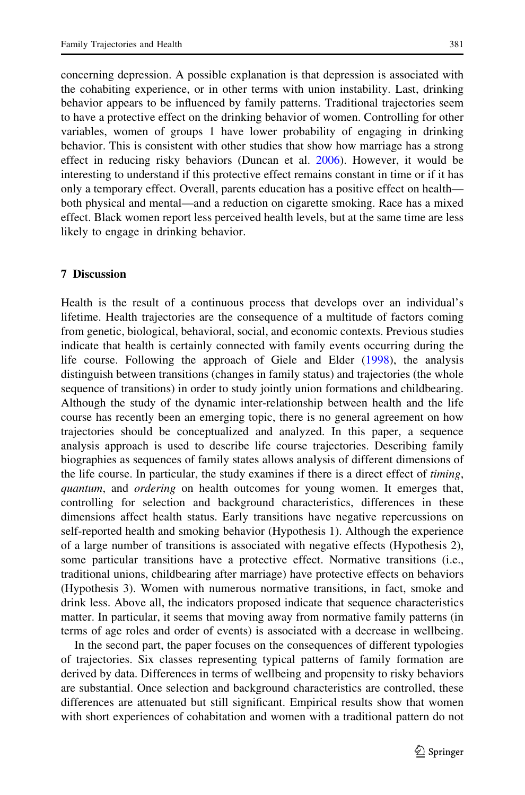concerning depression. A possible explanation is that depression is associated with the cohabiting experience, or in other terms with union instability. Last, drinking behavior appears to be influenced by family patterns. Traditional trajectories seem to have a protective effect on the drinking behavior of women. Controlling for other variables, women of groups 1 have lower probability of engaging in drinking behavior. This is consistent with other studies that show how marriage has a strong effect in reducing risky behaviors (Duncan et al. [2006\)](#page-26-0). However, it would be interesting to understand if this protective effect remains constant in time or if it has only a temporary effect. Overall, parents education has a positive effect on health both physical and mental—and a reduction on cigarette smoking. Race has a mixed effect. Black women report less perceived health levels, but at the same time are less likely to engage in drinking behavior.

# 7 Discussion

Health is the result of a continuous process that develops over an individual's lifetime. Health trajectories are the consequence of a multitude of factors coming from genetic, biological, behavioral, social, and economic contexts. Previous studies indicate that health is certainly connected with family events occurring during the life course. Following the approach of Giele and Elder [\(1998](#page-27-0)), the analysis distinguish between transitions (changes in family status) and trajectories (the whole sequence of transitions) in order to study jointly union formations and childbearing. Although the study of the dynamic inter-relationship between health and the life course has recently been an emerging topic, there is no general agreement on how trajectories should be conceptualized and analyzed. In this paper, a sequence analysis approach is used to describe life course trajectories. Describing family biographies as sequences of family states allows analysis of different dimensions of the life course. In particular, the study examines if there is a direct effect of timing, quantum, and *ordering* on health outcomes for young women. It emerges that, controlling for selection and background characteristics, differences in these dimensions affect health status. Early transitions have negative repercussions on self-reported health and smoking behavior (Hypothesis 1). Although the experience of a large number of transitions is associated with negative effects (Hypothesis 2), some particular transitions have a protective effect. Normative transitions (i.e., traditional unions, childbearing after marriage) have protective effects on behaviors (Hypothesis 3). Women with numerous normative transitions, in fact, smoke and drink less. Above all, the indicators proposed indicate that sequence characteristics matter. In particular, it seems that moving away from normative family patterns (in terms of age roles and order of events) is associated with a decrease in wellbeing.

In the second part, the paper focuses on the consequences of different typologies of trajectories. Six classes representing typical patterns of family formation are derived by data. Differences in terms of wellbeing and propensity to risky behaviors are substantial. Once selection and background characteristics are controlled, these differences are attenuated but still significant. Empirical results show that women with short experiences of cohabitation and women with a traditional pattern do not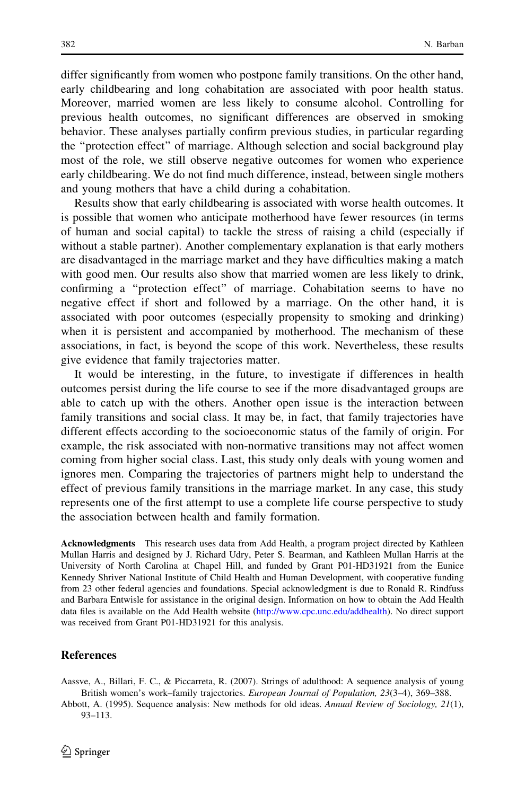<span id="page-25-0"></span>differ significantly from women who postpone family transitions. On the other hand, early childbearing and long cohabitation are associated with poor health status. Moreover, married women are less likely to consume alcohol. Controlling for previous health outcomes, no significant differences are observed in smoking behavior. These analyses partially confirm previous studies, in particular regarding the ''protection effect'' of marriage. Although selection and social background play most of the role, we still observe negative outcomes for women who experience early childbearing. We do not find much difference, instead, between single mothers and young mothers that have a child during a cohabitation.

Results show that early childbearing is associated with worse health outcomes. It is possible that women who anticipate motherhood have fewer resources (in terms of human and social capital) to tackle the stress of raising a child (especially if without a stable partner). Another complementary explanation is that early mothers are disadvantaged in the marriage market and they have difficulties making a match with good men. Our results also show that married women are less likely to drink, confirming a ''protection effect'' of marriage. Cohabitation seems to have no negative effect if short and followed by a marriage. On the other hand, it is associated with poor outcomes (especially propensity to smoking and drinking) when it is persistent and accompanied by motherhood. The mechanism of these associations, in fact, is beyond the scope of this work. Nevertheless, these results give evidence that family trajectories matter.

It would be interesting, in the future, to investigate if differences in health outcomes persist during the life course to see if the more disadvantaged groups are able to catch up with the others. Another open issue is the interaction between family transitions and social class. It may be, in fact, that family trajectories have different effects according to the socioeconomic status of the family of origin. For example, the risk associated with non-normative transitions may not affect women coming from higher social class. Last, this study only deals with young women and ignores men. Comparing the trajectories of partners might help to understand the effect of previous family transitions in the marriage market. In any case, this study represents one of the first attempt to use a complete life course perspective to study the association between health and family formation.

Acknowledgments This research uses data from Add Health, a program project directed by Kathleen Mullan Harris and designed by J. Richard Udry, Peter S. Bearman, and Kathleen Mullan Harris at the University of North Carolina at Chapel Hill, and funded by Grant P01-HD31921 from the Eunice Kennedy Shriver National Institute of Child Health and Human Development, with cooperative funding from 23 other federal agencies and foundations. Special acknowledgment is due to Ronald R. Rindfuss and Barbara Entwisle for assistance in the original design. Information on how to obtain the Add Health data files is available on the Add Health website (<http://www.cpc.unc.edu/addhealth>). No direct support was received from Grant P01-HD31921 for this analysis.

# References

Aassve, A., Billari, F. C., & Piccarreta, R. (2007). Strings of adulthood: A sequence analysis of young British women's work–family trajectories. European Journal of Population, 23(3–4), 369–388.

Abbott, A. (1995). Sequence analysis: New methods for old ideas. Annual Review of Sociology, 21(1), 93–113.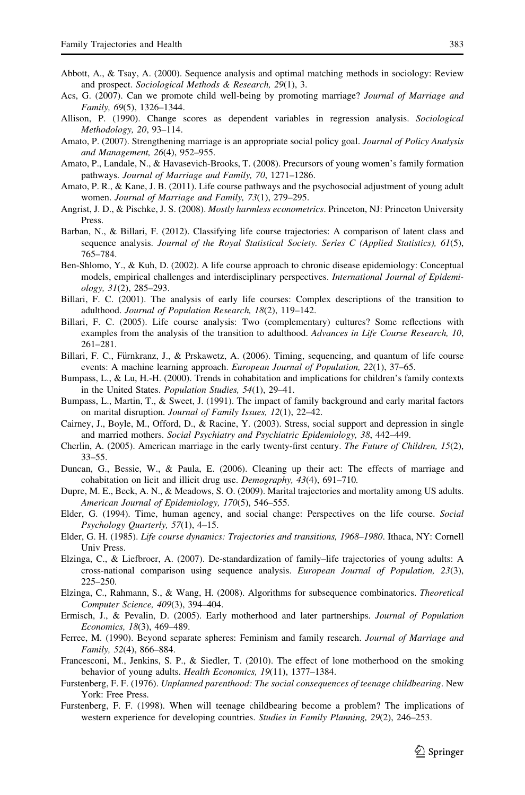- <span id="page-26-0"></span>Abbott, A., & Tsay, A. (2000). Sequence analysis and optimal matching methods in sociology: Review and prospect. Sociological Methods & Research, 29(1), 3.
- Acs, G. (2007). Can we promote child well-being by promoting marriage? Journal of Marriage and Family, 69(5), 1326–1344.
- Allison, P. (1990). Change scores as dependent variables in regression analysis. Sociological Methodology, 20, 93–114.
- Amato, P. (2007). Strengthening marriage is an appropriate social policy goal. Journal of Policy Analysis and Management, 26(4), 952–955.
- Amato, P., Landale, N., & Havasevich-Brooks, T. (2008). Precursors of young women's family formation pathways. Journal of Marriage and Family, 70, 1271–1286.
- Amato, P. R., & Kane, J. B. (2011). Life course pathways and the psychosocial adjustment of young adult women. Journal of Marriage and Family, 73(1), 279–295.
- Angrist, J. D., & Pischke, J. S. (2008). *Mostly harmless econometrics*. Princeton, NJ: Princeton University Press.
- Barban, N., & Billari, F. (2012). Classifying life course trajectories: A comparison of latent class and sequence analysis. Journal of the Royal Statistical Society. Series C (Applied Statistics), 61(5), 765–784.
- Ben-Shlomo, Y., & Kuh, D. (2002). A life course approach to chronic disease epidemiology: Conceptual models, empirical challenges and interdisciplinary perspectives. International Journal of Epidemiology, 31(2), 285–293.
- Billari, F. C. (2001). The analysis of early life courses: Complex descriptions of the transition to adulthood. Journal of Population Research, 18(2), 119–142.
- Billari, F. C. (2005). Life course analysis: Two (complementary) cultures? Some reflections with examples from the analysis of the transition to adulthood. Advances in Life Course Research, 10, 261–281.
- Billari, F. C., Fürnkranz, J., & Prskawetz, A. (2006). Timing, sequencing, and quantum of life course events: A machine learning approach. *European Journal of Population*, 22(1), 37–65.
- Bumpass, L., & Lu, H.-H. (2000). Trends in cohabitation and implications for children's family contexts in the United States. Population Studies, 54(1), 29–41.
- Bumpass, L., Martin, T., & Sweet, J. (1991). The impact of family background and early marital factors on marital disruption. Journal of Family Issues, 12(1), 22–42.
- Cairney, J., Boyle, M., Offord, D., & Racine, Y. (2003). Stress, social support and depression in single and married mothers. Social Psychiatry and Psychiatric Epidemiology, 38, 442–449.
- Cherlin, A. (2005). American marriage in the early twenty-first century. The Future of Children, 15(2), 33–55.
- Duncan, G., Bessie, W., & Paula, E. (2006). Cleaning up their act: The effects of marriage and cohabitation on licit and illicit drug use. Demography, 43(4), 691–710.
- Dupre, M. E., Beck, A. N., & Meadows, S. O. (2009). Marital trajectories and mortality among US adults. American Journal of Epidemiology, 170(5), 546–555.
- Elder, G. (1994). Time, human agency, and social change: Perspectives on the life course. Social Psychology Quarterly, 57(1), 4–15.
- Elder, G. H. (1985). Life course dynamics: Trajectories and transitions, 1968–1980. Ithaca, NY: Cornell Univ Press.
- Elzinga, C., & Liefbroer, A. (2007). De-standardization of family–life trajectories of young adults: A cross-national comparison using sequence analysis. European Journal of Population, 23(3), 225–250.
- Elzinga, C., Rahmann, S., & Wang, H. (2008). Algorithms for subsequence combinatorics. Theoretical Computer Science, 409(3), 394–404.
- Ermisch, J., & Pevalin, D. (2005). Early motherhood and later partnerships. Journal of Population Economics, 18(3), 469–489.
- Ferree, M. (1990). Beyond separate spheres: Feminism and family research. Journal of Marriage and Family, 52(4), 866–884.
- Francesconi, M., Jenkins, S. P., & Siedler, T. (2010). The effect of lone motherhood on the smoking behavior of young adults. Health Economics, 19(11), 1377-1384.
- Furstenberg, F. F. (1976). Unplanned parenthood: The social consequences of teenage childbearing. New York: Free Press.
- Furstenberg, F. F. (1998). When will teenage childbearing become a problem? The implications of western experience for developing countries. Studies in Family Planning, 29(2), 246–253.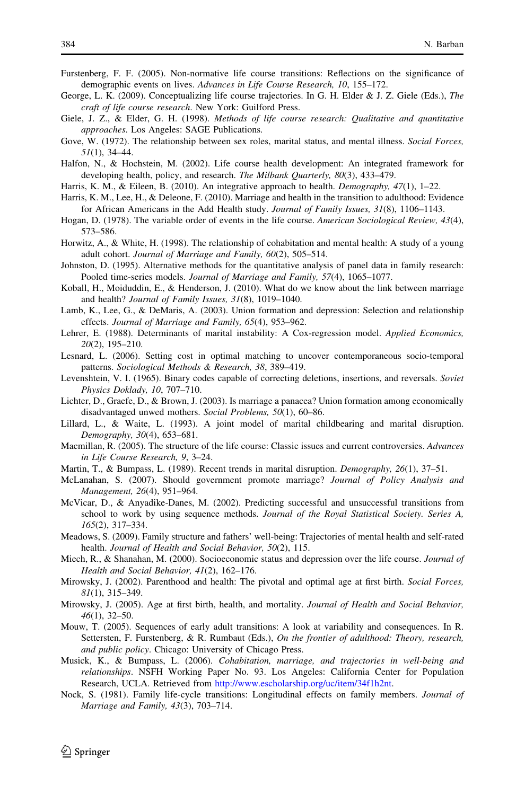- <span id="page-27-0"></span>Furstenberg, F. F. (2005). Non-normative life course transitions: Reflections on the significance of demographic events on lives. Advances in Life Course Research, 10, 155–172.
- George, L. K. (2009). Conceptualizing life course trajectories. In G. H. Elder & J. Z. Giele (Eds.), The craft of life course research. New York: Guilford Press.
- Giele, J. Z., & Elder, G. H. (1998). Methods of life course research: Qualitative and quantitative approaches. Los Angeles: SAGE Publications.
- Gove, W. (1972). The relationship between sex roles, marital status, and mental illness. Social Forces, 51(1), 34–44.
- Halfon, N., & Hochstein, M. (2002). Life course health development: An integrated framework for developing health, policy, and research. The Milbank Quarterly, 80(3), 433–479.
- Harris, K. M., & Eileen, B. (2010). An integrative approach to health. *Demography, 47*(1), 1–22.
- Harris, K. M., Lee, H., & Deleone, F. (2010). Marriage and health in the transition to adulthood: Evidence for African Americans in the Add Health study. Journal of Family Issues, 31(8), 1106–1143.
- Hogan, D. (1978). The variable order of events in the life course. American Sociological Review, 43(4), 573–586.
- Horwitz, A., & White, H. (1998). The relationship of cohabitation and mental health: A study of a young adult cohort. Journal of Marriage and Family, 60(2), 505–514.
- Johnston, D. (1995). Alternative methods for the quantitative analysis of panel data in family research: Pooled time-series models. Journal of Marriage and Family, 57(4), 1065–1077.
- Koball, H., Moiduddin, E., & Henderson, J. (2010). What do we know about the link between marriage and health? Journal of Family Issues, 31(8), 1019–1040.
- Lamb, K., Lee, G., & DeMaris, A. (2003). Union formation and depression: Selection and relationship effects. Journal of Marriage and Family, 65(4), 953–962.
- Lehrer, E. (1988). Determinants of marital instability: A Cox-regression model. Applied Economics, 20(2), 195–210.
- Lesnard, L. (2006). Setting cost in optimal matching to uncover contemporaneous socio-temporal patterns. Sociological Methods & Research, 38, 389–419.
- Levenshtein, V. I. (1965). Binary codes capable of correcting deletions, insertions, and reversals. Soviet Physics Doklady, 10, 707–710.
- Lichter, D., Graefe, D., & Brown, J. (2003). Is marriage a panacea? Union formation among economically disadvantaged unwed mothers. Social Problems, 50(1), 60–86.
- Lillard, L., & Waite, L. (1993). A joint model of marital childbearing and marital disruption. Demography, 30(4), 653–681.
- Macmillan, R. (2005). The structure of the life course: Classic issues and current controversies. Advances in Life Course Research, 9, 3–24.
- Martin, T., & Bumpass, L. (1989). Recent trends in marital disruption. *Demography*, 26(1), 37–51.
- McLanahan, S. (2007). Should government promote marriage? Journal of Policy Analysis and Management, 26(4), 951–964.
- McVicar, D., & Anyadike-Danes, M. (2002). Predicting successful and unsuccessful transitions from school to work by using sequence methods. Journal of the Royal Statistical Society. Series A, 165(2), 317–334.
- Meadows, S. (2009). Family structure and fathers' well-being: Trajectories of mental health and self-rated health. Journal of Health and Social Behavior, 50(2), 115.
- Miech, R., & Shanahan, M. (2000). Socioeconomic status and depression over the life course. Journal of Health and Social Behavior, 41(2), 162–176.
- Mirowsky, J. (2002). Parenthood and health: The pivotal and optimal age at first birth. Social Forces, 81(1), 315–349.
- Mirowsky, J. (2005). Age at first birth, health, and mortality. Journal of Health and Social Behavior, 46(1), 32–50.
- Mouw, T. (2005). Sequences of early adult transitions: A look at variability and consequences. In R. Settersten, F. Furstenberg, & R. Rumbaut (Eds.), On the frontier of adulthood: Theory, research, and public policy. Chicago: University of Chicago Press.
- Musick, K., & Bumpass, L. (2006). Cohabitation, marriage, and trajectories in well-being and relationships. NSFH Working Paper No. 93. Los Angeles: California Center for Population Research, UCLA. Retrieved from [http://www.escholarship.org/uc/item/34f1h2nt.](http://www.escholarship.org/uc/item/34f1h2nt)
- Nock, S. (1981). Family life-cycle transitions: Longitudinal effects on family members. Journal of Marriage and Family, 43(3), 703–714.